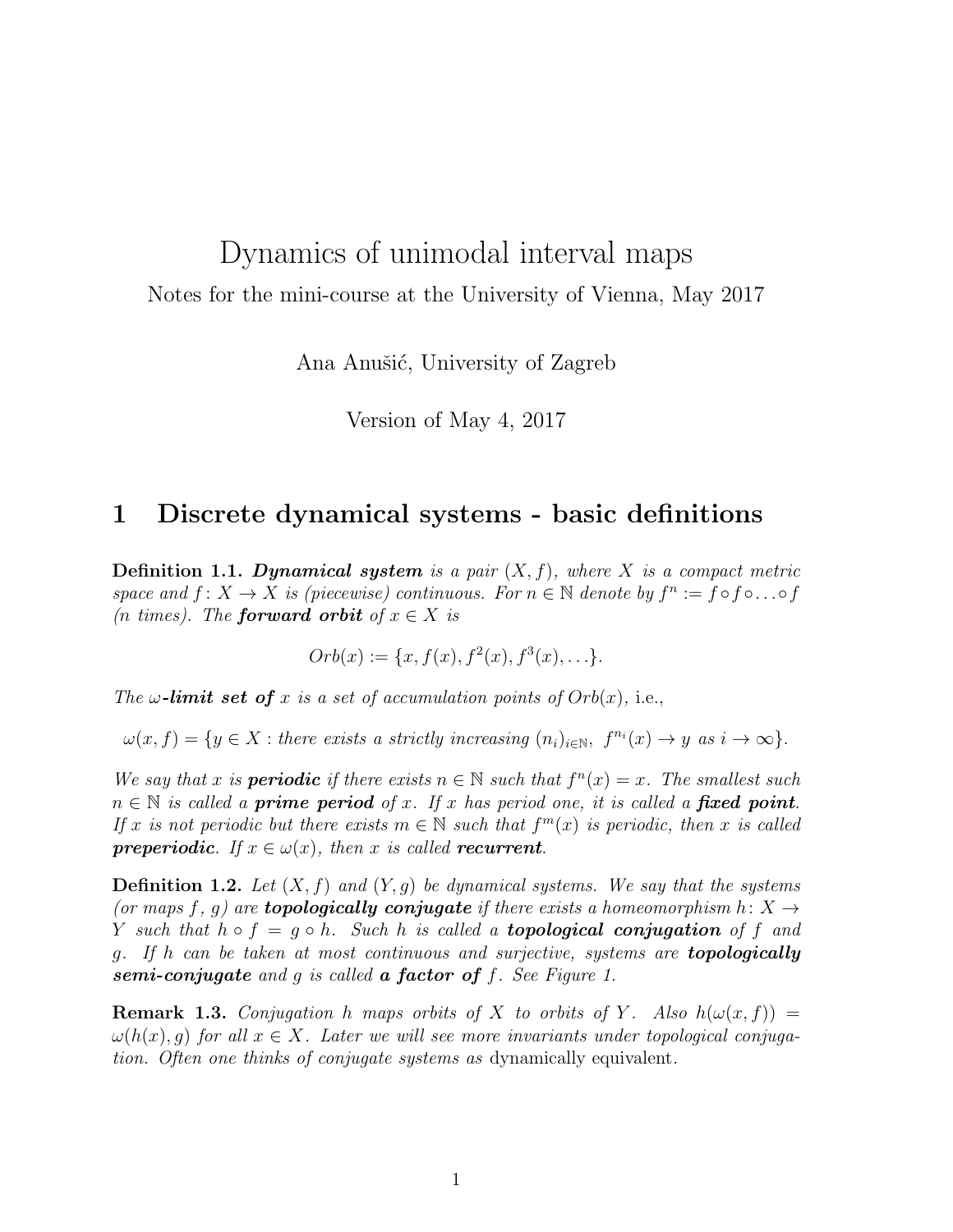# Dynamics of unimodal interval maps

Notes for the mini-course at the University of Vienna, May 2017

Ana Anušić, University of Zagreb

Version of May 4, 2017

## 1 Discrete dynamical systems - basic definitions

**Definition 1.1. Dynamical system** is a pair  $(X, f)$ , where X is a compact metric space and  $f: X \to X$  is (piecewise) continuous. For  $n \in \mathbb{N}$  denote by  $f^n := f \circ f \circ \dots \circ f$ (*n* times). The **forward orbit** of  $x \in X$  is

$$
Orb(x) := \{x, f(x), f^{2}(x), f^{3}(x), \ldots\}.
$$

The  $\omega$ -limit set of x is a set of accumulation points of  $Orb(x)$ , i.e.,

 $\omega(x, f) = \{y \in X : \text{there exists a strictly increasing } (n_i)_{i \in \mathbb{N}}, \ f^{n_i}(x) \to y \ \text{as} \ i \to \infty \}.$ 

We say that x is **periodic** if there exists  $n \in \mathbb{N}$  such that  $f^{n}(x) = x$ . The smallest such  $n \in \mathbb{N}$  is called a **prime period** of x. If x has period one, it is called a **fixed point**. If x is not periodic but there exists  $m \in \mathbb{N}$  such that  $f^m(x)$  is periodic, then x is called **preperiodic.** If  $x \in \omega(x)$ , then x is called **recurrent**.

**Definition 1.2.** Let  $(X, f)$  and  $(Y, g)$  be dynamical systems. We say that the systems (or maps f, q) are **topologically conjugate** if there exists a homeomorphism  $h: X \rightarrow$ Y such that  $h \circ f = g \circ h$ . Such h is called a **topological conjugation** of f and g. If h can be taken at most continuous and surjective, systems are topologically semi-conjugate and g is called a factor of  $f$ . See Figure 1.

**Remark 1.3.** Conjugation h maps orbits of X to orbits of Y. Also  $h(\omega(x, f)) =$  $\omega(h(x), q)$  for all  $x \in X$ . Later we will see more invariants under topological conjugation. Often one thinks of conjugate systems as dynamically equivalent.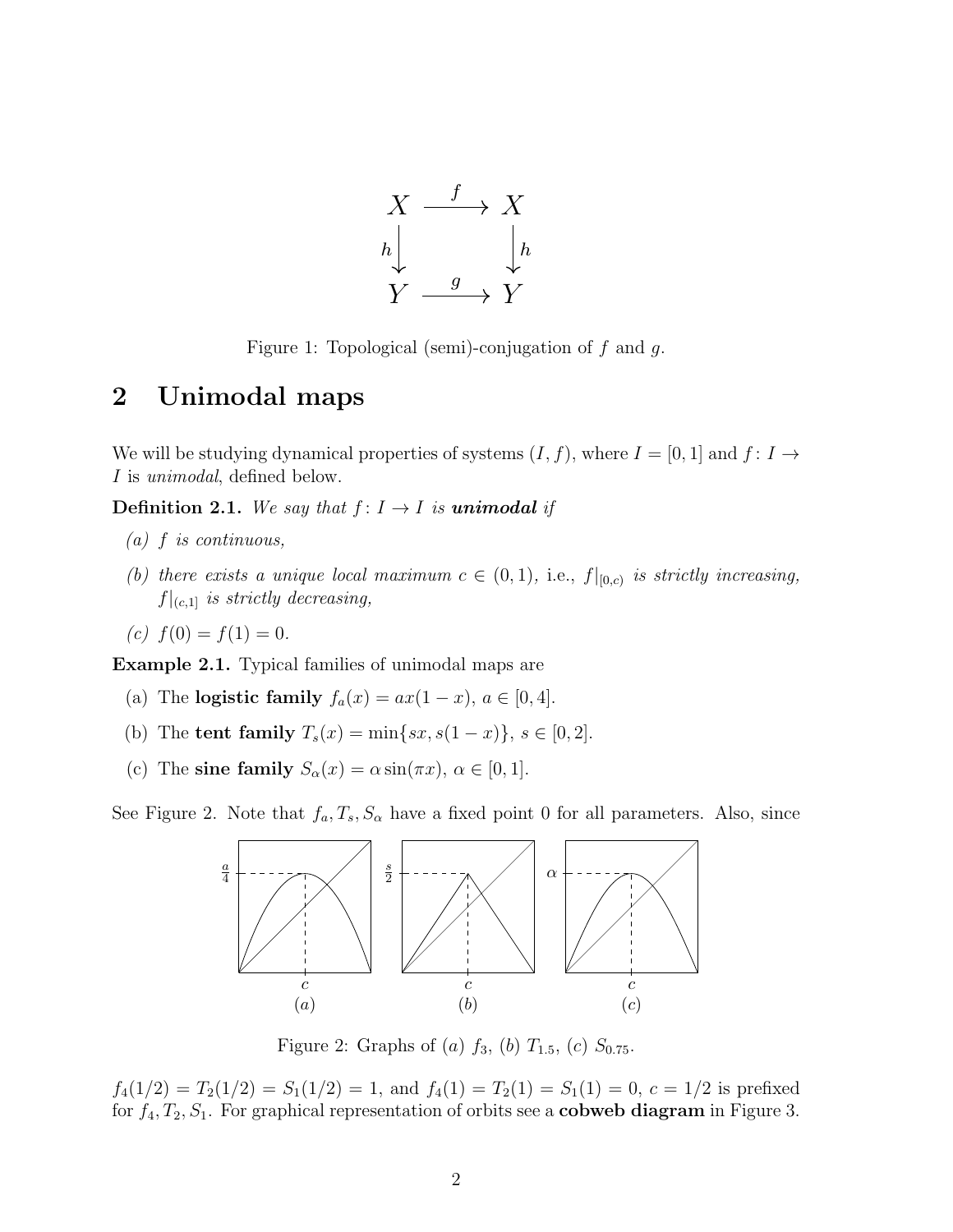

Figure 1: Topological (semi)-conjugation of  $f$  and  $g$ .

# 2 Unimodal maps

We will be studying dynamical properties of systems  $(I, f)$ , where  $I = [0, 1]$  and  $f: I \rightarrow$ I is unimodal, defined below.

**Definition 2.1.** We say that  $f: I \rightarrow I$  is **unimodal** if

- $(a)$  f is continuous,
- (b) there exists a unique local maximum  $c \in (0,1)$ , i.e.,  $f|_{[0,c)}$  is strictly increasing,  $f|_{(c,1]}$  is strictly decreasing,
- (c)  $f(0) = f(1) = 0$ .

Example 2.1. Typical families of unimodal maps are

- (a) The **logistic family**  $f_a(x) = ax(1-x)$ ,  $a \in [0, 4]$ .
- (b) The **tent family**  $T_s(x) = \min\{sx, s(1-x)\}, s \in [0,2].$
- (c) The sine family  $S_{\alpha}(x) = \alpha \sin(\pi x), \alpha \in [0, 1].$

See Figure 2. Note that  $f_a, T_s, S_\alpha$  have a fixed point 0 for all parameters. Also, since



Figure 2: Graphs of (a)  $f_3$ , (b)  $T_{1.5}$ , (c)  $S_{0.75}$ .

 $f_4(1/2) = T_2(1/2) = S_1(1/2) = 1$ , and  $f_4(1) = T_2(1) = S_1(1) = 0$ ,  $c = 1/2$  is prefixed for  $f_4, T_2, S_1$ . For graphical representation of orbits see a **cobweb diagram** in Figure 3.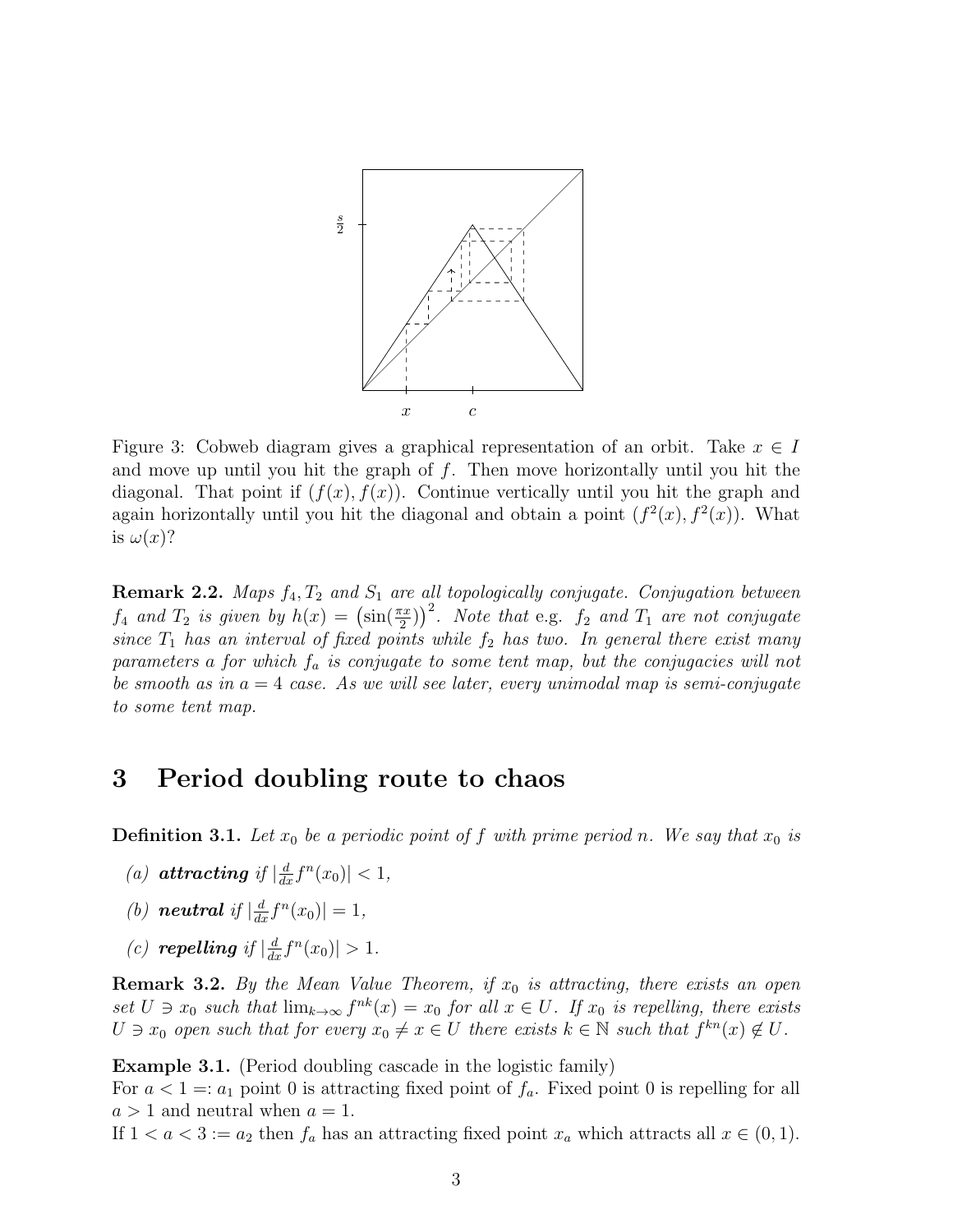

Figure 3: Cobweb diagram gives a graphical representation of an orbit. Take  $x \in I$ and move up until you hit the graph of  $f$ . Then move horizontally until you hit the diagonal. That point if  $(f(x), f(x))$ . Continue vertically until you hit the graph and again horizontally until you hit the diagonal and obtain a point  $(f^2(x), f^2(x))$ . What is  $\omega(x)$ ?

**Remark 2.2.** Maps  $f_4, T_2$  and  $S_1$  are all topologically conjugate. Conjugation between  $f_4$  and  $T_2$  is given by  $h(x) = (\sin(\frac{\pi x}{2}))^2$ . Note that e.g.  $f_2$  and  $T_1$  are not conjugate since  $T_1$  has an interval of fixed points while  $f_2$  has two. In general there exist many parameters a for which  $f_a$  is conjugate to some tent map, but the conjugacies will not be smooth as in  $a = 4$  case. As we will see later, every unimodal map is semi-conjugate to some tent map.

# 3 Period doubling route to chaos

**Definition 3.1.** Let  $x_0$  be a periodic point of f with prime period n. We say that  $x_0$  is

- (a) **attracting** if  $\left|\frac{d}{dx}f^{n}(x_0)\right| < 1$ ,
- (b) **neutral** if  $\left| \frac{d}{dx} f^{n}(x_0) \right| = 1$ ,
- (c) **repelling** if  $\left| \frac{d}{dx} f^{n}(x_0) \right| > 1$ .

**Remark 3.2.** By the Mean Value Theorem, if  $x_0$  is attracting, there exists an open set  $U \ni x_0$  such that  $\lim_{k\to\infty} f^{nk}(x) = x_0$  for all  $x \in U$ . If  $x_0$  is repelling, there exists  $U \ni x_0$  open such that for every  $x_0 \neq x \in U$  there exists  $k \in \mathbb{N}$  such that  $f^{kn}(x) \notin U$ .

Example 3.1. (Period doubling cascade in the logistic family)

For  $a < 1 =: a_1$  point 0 is attracting fixed point of  $f_a$ . Fixed point 0 is repelling for all  $a > 1$  and neutral when  $a = 1$ .

If  $1 < a < 3 := a_2$  then  $f_a$  has an attracting fixed point  $x_a$  which attracts all  $x \in (0,1)$ .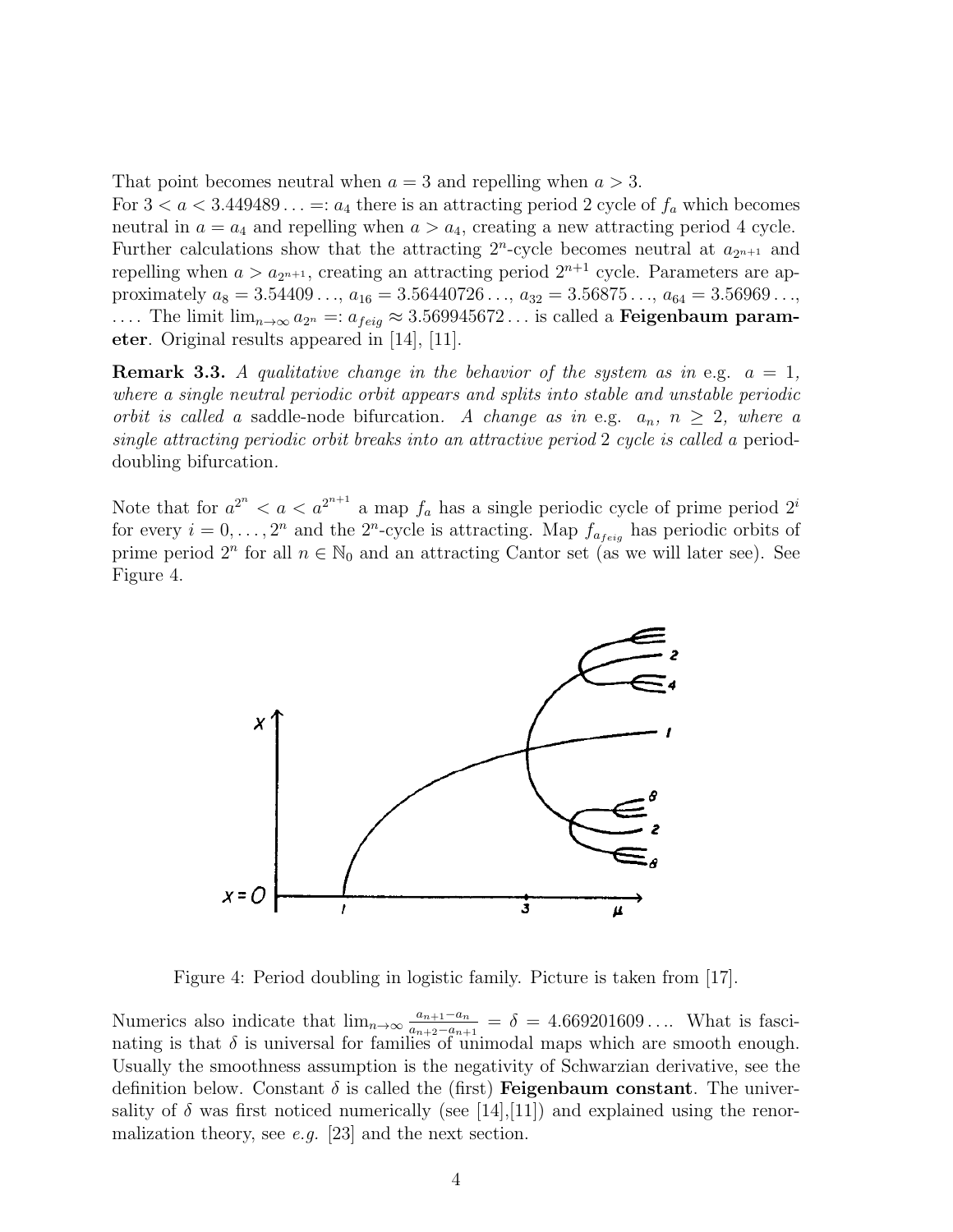That point becomes neutral when  $a = 3$  and repelling when  $a > 3$ .

For  $3 < a < 3.449489... =: a_4$  there is an attracting period 2 cycle of  $f_a$  which becomes neutral in  $a = a_4$  and repelling when  $a > a_4$ , creating a new attracting period 4 cycle. Further calculations show that the attracting  $2^n$ -cycle becomes neutral at  $a_{2^{n+1}}$  and repelling when  $a > a_{2^{n+1}}$ , creating an attracting period  $2^{n+1}$  cycle. Parameters are approximately  $a_8 = 3.54409...$ ,  $a_{16} = 3.56440726...$ ,  $a_{32} = 3.56875...$ ,  $a_{64} = 3.56969...$ , .... The limit  $\lim_{n\to\infty} a_{2^n} =: a_{feiq} \approx 3.569945672...$  is called a **Feigenbaum param**eter. Original results appeared in [14], [11].

**Remark 3.3.** A qualitative change in the behavior of the system as in e.g.  $a = 1$ . where a single neutral periodic orbit appears and splits into stable and unstable periodic orbit is called a saddle-node bifurcation. A change as in e.g.  $a_n$ ,  $n \geq 2$ , where a single attracting periodic orbit breaks into an attractive period 2 cycle is called a perioddoubling bifurcation.

Note that for  $a^{2^n} < a < a^{2^{n+1}}$  a map  $f_a$  has a single periodic cycle of prime period  $2^i$ for every  $i = 0, \ldots, 2^n$  and the  $2^n$ -cycle is attracting. Map  $f_{a_{feig}}$  has periodic orbits of prime period  $2^n$  for all  $n \in \mathbb{N}_0$  and an attracting Cantor set (as we will later see). See Figure 4.



Figure 4: Period doubling in logistic family. Picture is taken from [17].

Numerics also indicate that  $\lim_{n\to\infty} \frac{a_{n+1}-a_n}{a_{n+1}-a_{n-1}}$  $\frac{a_{n+1}-a_n}{a_{n+2}-a_{n+1}} = \delta = 4.669201609...$  What is fascinating is that  $\delta$  is universal for families of unimodal maps which are smooth enough. Usually the smoothness assumption is the negativity of Schwarzian derivative, see the definition below. Constant  $\delta$  is called the (first) **Feigenbaum constant**. The universality of  $\delta$  was first noticed numerically (see [14], [11]) and explained using the renormalization theory, see e.g. [23] and the next section.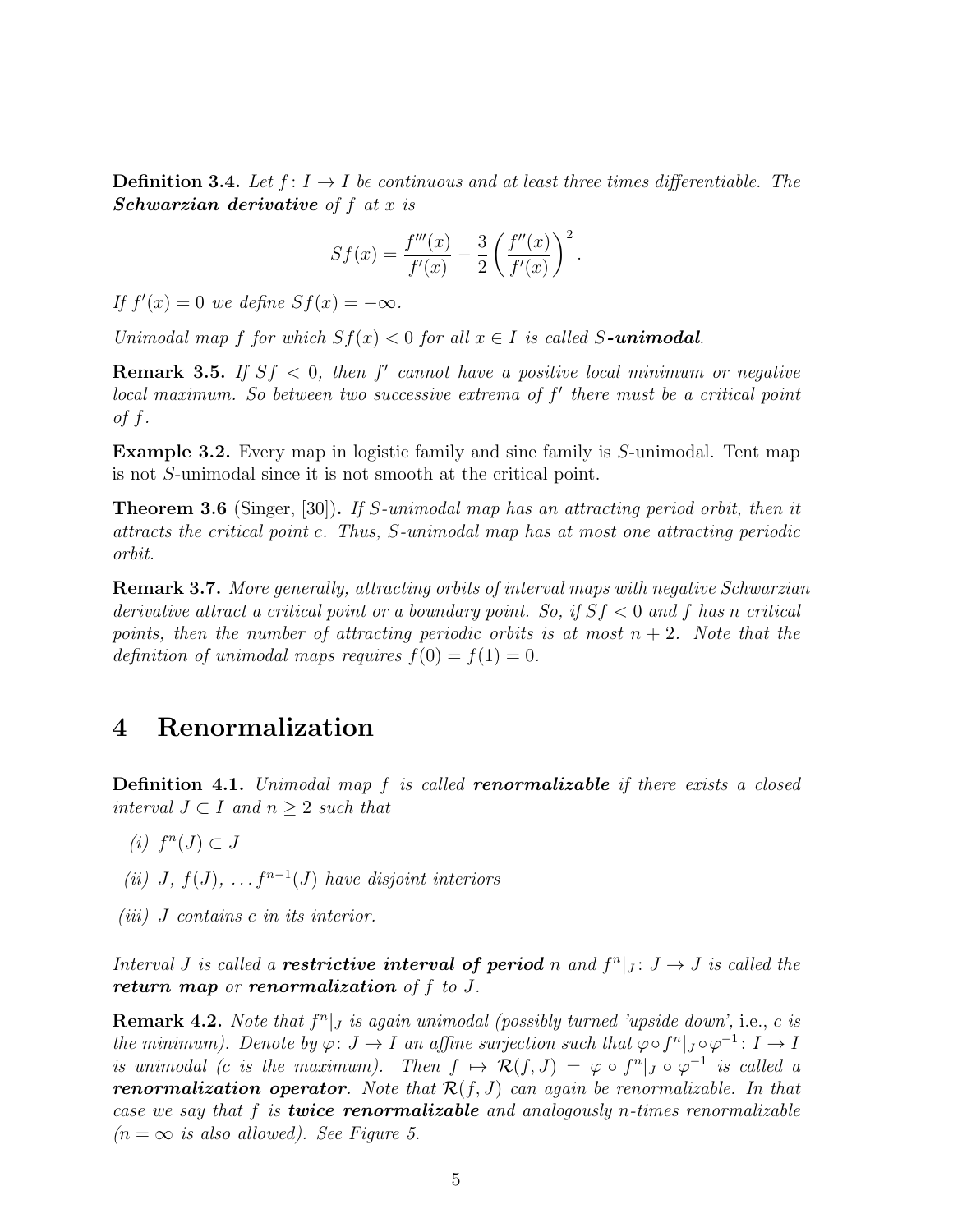**Definition 3.4.** Let  $f: I \rightarrow I$  be continuous and at least three times differentiable. The **Schwarzian derivative** of  $f$  at  $x$  is

$$
Sf(x) = \frac{f'''(x)}{f'(x)} - \frac{3}{2} \left( \frac{f''(x)}{f'(x)} \right)^2.
$$

If  $f'(x) = 0$  we define  $Sf(x) = -\infty$ .

Unimodal map f for which  $Sf(x) < 0$  for all  $x \in I$  is called S-unimodal.

**Remark 3.5.** If  $Sf < 0$ , then f' cannot have a positive local minimum or negative  $local maximum. So between two successive extrema of  $f'$  there must be a critical point$ of  $f$ .

Example 3.2. Every map in logistic family and sine family is S-unimodal. Tent map is not S-unimodal since it is not smooth at the critical point.

Theorem 3.6 (Singer, [30]). If S-unimodal map has an attracting period orbit, then it attracts the critical point c. Thus, S-unimodal map has at most one attracting periodic orbit.

Remark 3.7. More generally, attracting orbits of interval maps with negative Schwarzian derivative attract a critical point or a boundary point. So, if  $Sf < 0$  and f has n critical points, then the number of attracting periodic orbits is at most  $n + 2$ . Note that the definition of unimodal maps requires  $f(0) = f(1) = 0$ .

#### 4 Renormalization

**Definition 4.1.** Unimodal map f is called **renormalizable** if there exists a closed interval  $J \subset I$  and  $n \geq 2$  such that

- (i)  $f^n(J) \subset J$
- (ii) J,  $f(J)$ , ...  $f^{n-1}(J)$  have disjoint interiors
- (iii) J contains c in its interior.

Interval *J* is called a **restrictive interval of period** n and  $f^{n}|_{J}: J \rightarrow J$  is called the return map or renormalization of  $f$  to  $J$ .

**Remark 4.2.** Note that  $f^n|_J$  is again unimodal (possibly turned 'upside down', i.e., c is the minimum). Denote by  $\varphi: J \to I$  an affine surjection such that  $\varphi \circ f^n |_{J} \circ \varphi^{-1}: I \to I$ is unimodal (c is the maximum). Then  $f \mapsto \mathcal{R}(f, J) = \varphi \circ f^n |_J \circ \varphi^{-1}$  is called a **renormalization operator**. Note that  $\mathcal{R}(f, J)$  can again be renormalizable. In that case we say that  $f$  is **twice renormalizable** and analogously n-times renormalizable  $(n = \infty$  is also allowed). See Figure 5.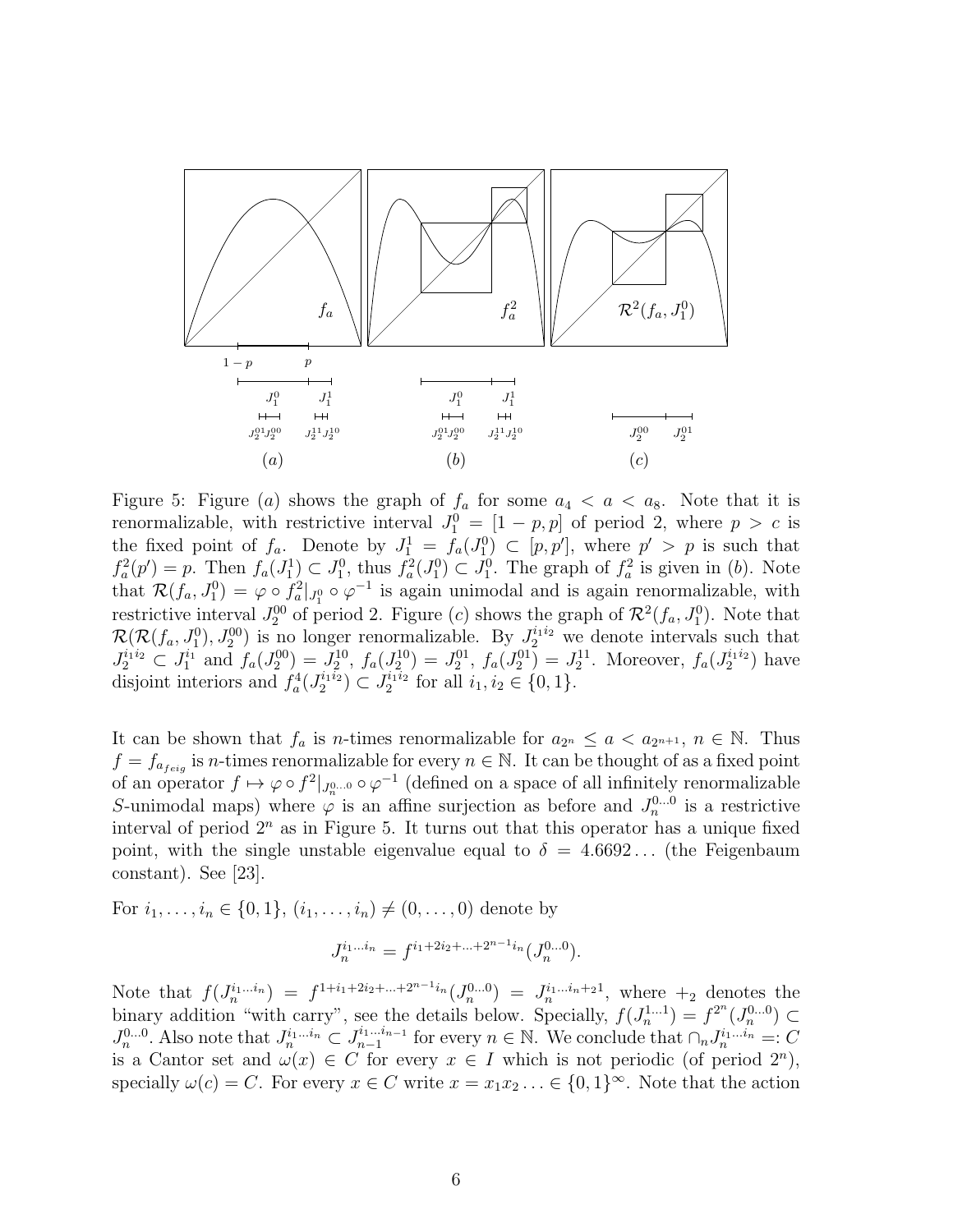

Figure 5: Figure (a) shows the graph of  $f_a$  for some  $a_4 < a < a_8$ . Note that it is renormalizable, with restrictive interval  $J_1^0 = [1 - p, p]$  of period 2, where  $p > c$  is the fixed point of  $f_a$ . Denote by  $J_1^1 = f_a(J_1^0) \subset [p, p']$ , where  $p' > p$  is such that  $f_a^2(p') = p$ . Then  $f_a(J_1^1) \subset J_1^0$ , thus  $f_a^2(J_1^0) \subset J_1^0$ . The graph of  $f_a^2$  is given in (b). Note that  $\mathcal{R}(f_a, J_1^0) = \varphi \circ f_a^2 |_{J_1^0} \circ \varphi^{-1}$  is again unimodal and is again renormalizable, with restrictive interval  $J_2^{00}$  of period 2. Figure (c) shows the graph of  $\mathcal{R}^2(f_a, J_1^0)$ . Note that  $\mathcal{R}(\mathcal{R}(f_a, J_1^0), J_2^{00})$  is no longer renormalizable. By  $J_2^{i_1 i_2}$  we denote intervals such that  $J_2^{i_1i_2} \subset J_1^{i_1}$  and  $f_a(J_2^{00}) = J_2^{10}$ ,  $f_a(J_2^{10}) = J_2^{01}$ ,  $f_a(J_2^{01}) = J_2^{11}$ . Moreover,  $f_a(J_2^{i_1i_2})$  have disjoint interiors and  $f_a^4(J_2^{i_1 i_2}) \subset J_2^{i_1 i_2}$  for all  $i_1, i_2 \in \{0, 1\}$ .

It can be shown that  $f_a$  is *n*-times renormalizable for  $a_{2^n} \le a < a_{2^{n+1}}$ ,  $n \in \mathbb{N}$ . Thus  $f = f_{a_{feig}}$  is *n*-times renormalizable for every  $n \in \mathbb{N}$ . It can be thought of as a fixed point of an operator  $f \mapsto \varphi \circ f^2 |_{J_n^{0...0}} \circ \varphi^{-1}$  (defined on a space of all infinitely renormalizable S-unimodal maps) where  $\varphi$  is an affine surjection as before and  $J_n^{0...0}$  is a restrictive interval of period  $2^n$  as in Figure 5. It turns out that this operator has a unique fixed point, with the single unstable eigenvalue equal to  $\delta = 4.6692...$  (the Feigenbaum constant). See [23].

For  $i_1, \ldots, i_n \in \{0, 1\}, (i_1, \ldots, i_n) \neq (0, \ldots, 0)$  denote by

$$
J_n^{i_1...i_n} = f^{i_1+2i_2+...+2^{n-1}i_n}(J_n^{0...0}).
$$

Note that  $f(J_n^{i_1...i_n}) = f^{1+i_1+2i_2+...+2^{n-1}i_n}(J_n^{0...0}) = J_n^{i_1...i_n+2i},$  where  $+_2$  denotes the binary addition "with carry", see the details below. Specially,  $f(J_n^{1...1}) = f^{2^n}(J_n^{0...0}) \subset$  $J_n^{0...0}$ . Also note that  $J_n^{i_1...i_n} \subset J_{n-1}^{i_1...i_{n-1}}$  $a_{n-1}^{i_1...i_{n-1}}$  for every  $n \in \mathbb{N}$ . We conclude that  $\cap_n J_n^{i_1...i_n}$  =: C is a Cantor set and  $\omega(x) \in C$  for every  $x \in I$  which is not periodic (of period  $2^n$ ), specially  $\omega(c) = C$ . For every  $x \in C$  write  $x = x_1 x_2 \dots \in \{0, 1\}^{\infty}$ . Note that the action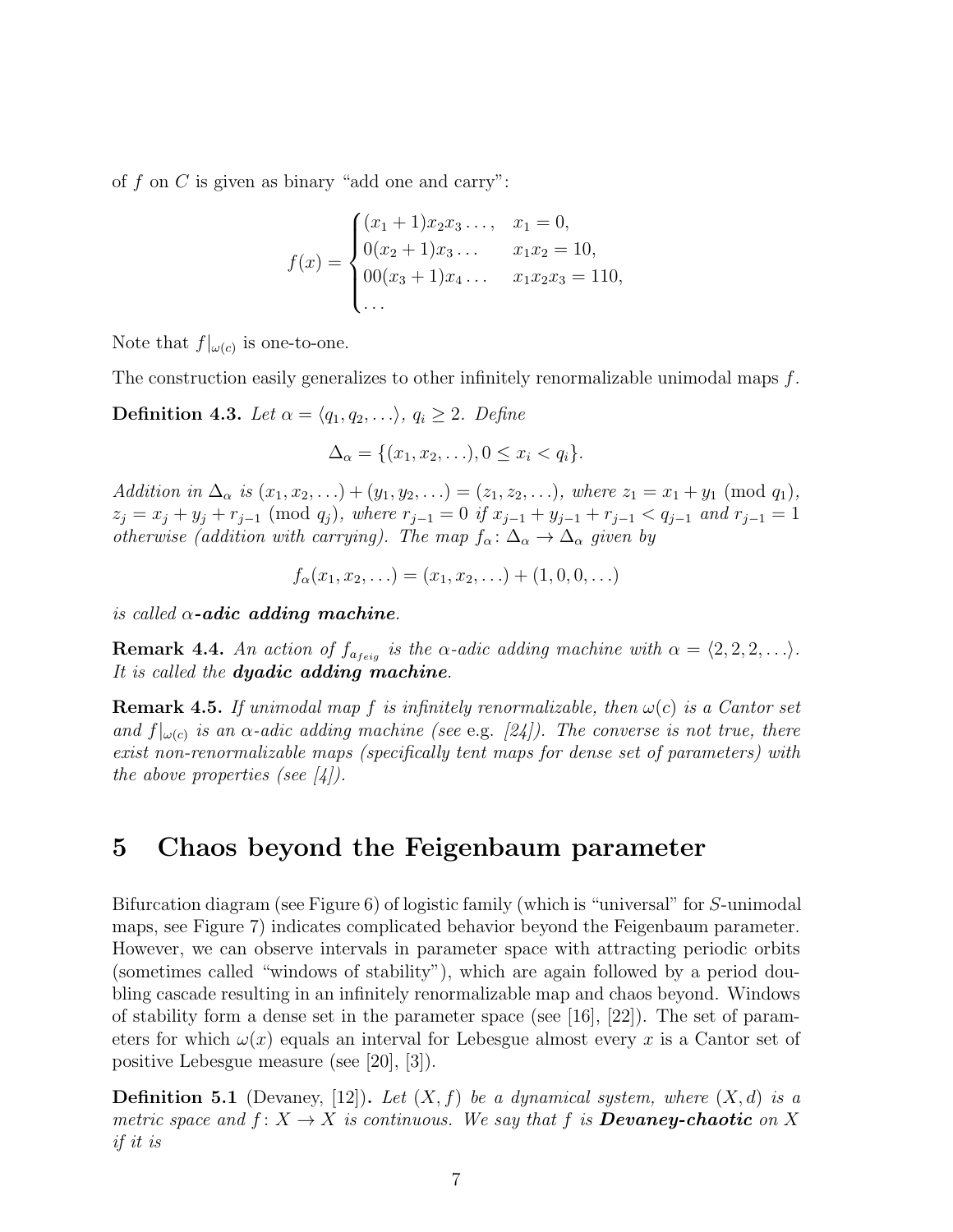of  $f$  on  $C$  is given as binary "add one and carry":

$$
f(x) = \begin{cases} (x_1 + 1)x_2x_3\ldots, & x_1 = 0, \\ 0(x_2 + 1)x_3\ldots & x_1x_2 = 10, \\ 00(x_3 + 1)x_4\ldots & x_1x_2x_3 = 110, \\ \ldots & \ldots & \ldots \end{cases}
$$

Note that  $f|_{\omega(c)}$  is one-to-one.

The construction easily generalizes to other infinitely renormalizable unimodal maps  $f$ .

**Definition 4.3.** Let  $\alpha = \langle q_1, q_2, \ldots \rangle$ ,  $q_i \geq 2$ . Define

$$
\Delta_{\alpha} = \{(x_1, x_2, \ldots), 0 \le x_i < q_i\}.
$$

Addition in  $\Delta_{\alpha}$  is  $(x_1, x_2, ...) + (y_1, y_2, ...) = (z_1, z_2, ...)$ , where  $z_1 = x_1 + y_1 \pmod{q_1}$ ,  $z_j = x_j + y_j + r_{j-1} \pmod{q_j}$ , where  $r_{j-1} = 0$  if  $x_{j-1} + y_{j-1} + r_{j-1} < q_{j-1}$  and  $r_{j-1} = 1$ otherwise (addition with carrying). The map  $f_{\alpha} : \Delta_{\alpha} \to \Delta_{\alpha}$  given by

$$
f_{\alpha}(x_1, x_2, \ldots) = (x_1, x_2, \ldots) + (1, 0, 0, \ldots)
$$

is called  $\alpha$ -adic adding machine.

**Remark 4.4.** An action of  $f_{a_{feig}}$  is the  $\alpha$ -adic adding machine with  $\alpha = \langle 2, 2, 2, \ldots \rangle$ . It is called the **dyadic adding machine**.

**Remark 4.5.** If unimodal map f is infinitely renormalizable, then  $\omega(c)$  is a Cantor set and  $f|_{\omega(c)}$  is an  $\alpha$ -adic adding machine (see e.g. [24]). The converse is not true, there exist non-renormalizable maps (specifically tent maps for dense set of parameters) with the above properties (see  $\vert 4 \vert$ ).

# 5 Chaos beyond the Feigenbaum parameter

Bifurcation diagram (see Figure 6) of logistic family (which is "universal" for S-unimodal maps, see Figure 7) indicates complicated behavior beyond the Feigenbaum parameter. However, we can observe intervals in parameter space with attracting periodic orbits (sometimes called "windows of stability"), which are again followed by a period doubling cascade resulting in an infinitely renormalizable map and chaos beyond. Windows of stability form a dense set in the parameter space (see [16], [22]). The set of parameters for which  $\omega(x)$  equals an interval for Lebesgue almost every x is a Cantor set of positive Lebesgue measure (see [20], [3]).

**Definition 5.1** (Devaney, [12]). Let  $(X, f)$  be a dynamical system, where  $(X, d)$  is a metric space and  $f: X \to X$  is continuous. We say that f is **Devaney-chaotic** on X if it is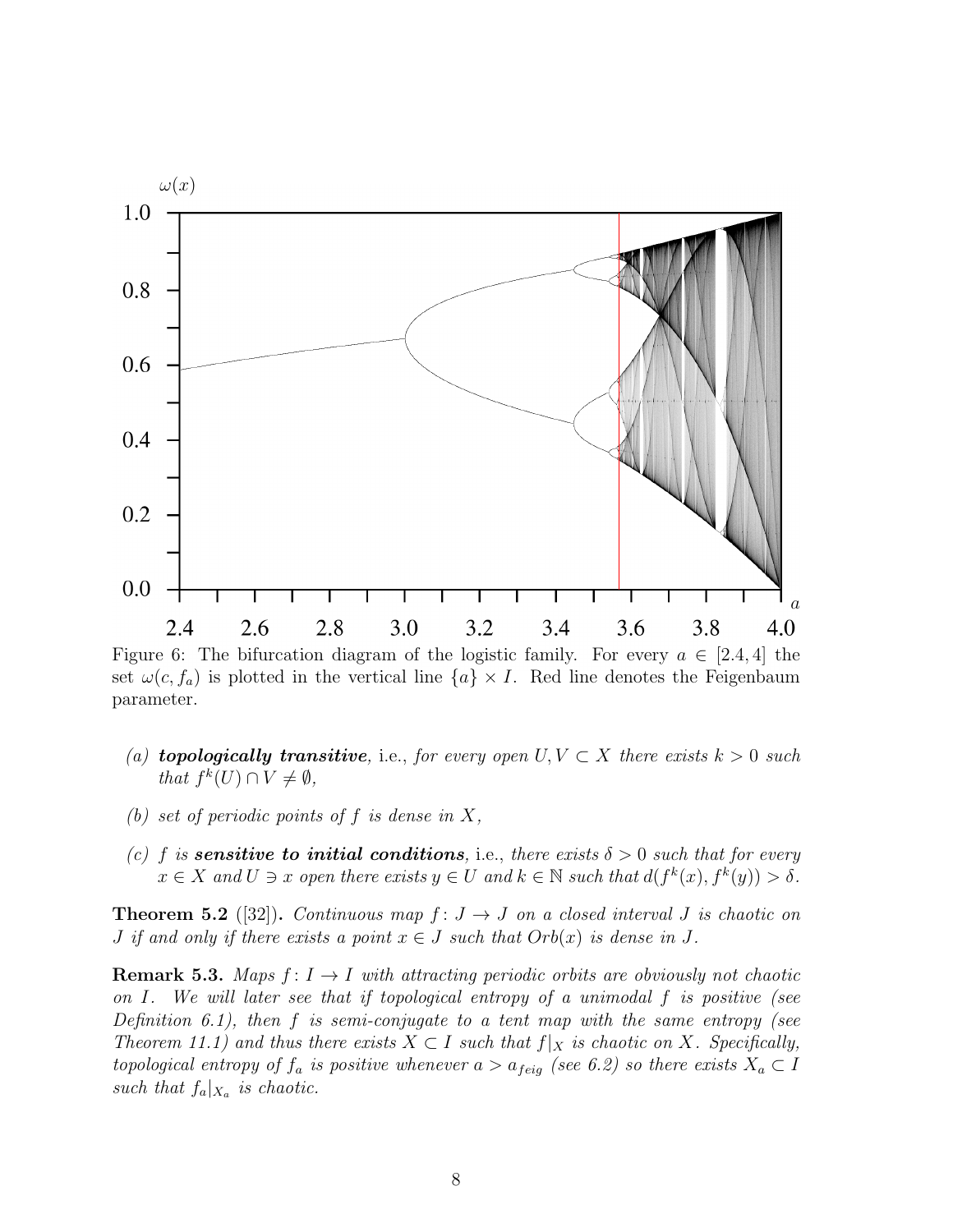

Figure 6: The bifurcation diagram of the logistic family. For every  $a \in [2.4, 4]$  the set  $\omega(c, f_a)$  is plotted in the vertical line  $\{a\} \times I$ . Red line denotes the Feigenbaum parameter.

- (a) **topologically transitive**, i.e., for every open  $U, V \subset X$  there exists  $k > 0$  such that  $f^k(U) \cap V \neq \emptyset$ ,
- (b) set of periodic points of f is dense in  $X$ ,
- (c) f is **sensitive to initial conditions**, i.e., there exists  $\delta > 0$  such that for every  $x \in X$  and  $U \ni x$  open there exists  $y \in U$  and  $k \in \mathbb{N}$  such that  $d(f^k(x), f^k(y)) > \delta$ .

**Theorem 5.2** ([32]). Continuous map  $f: J \rightarrow J$  on a closed interval J is chaotic on *J* if and only if there exists a point  $x \in J$  such that  $Orb(x)$  is dense in J.

**Remark 5.3.** Maps  $f: I \rightarrow I$  with attracting periodic orbits are obviously not chaotic on I. We will later see that if topological entropy of a unimodal f is positive (see Definition 6.1), then f is semi-conjugate to a tent map with the same entropy (see Theorem 11.1) and thus there exists  $X \subset I$  such that  $f|_X$  is chaotic on X. Specifically, topological entropy of  $f_a$  is positive whenever  $a > a_{feig}$  (see 6.2) so there exists  $X_a \subset I$ such that  $f_a|_{X_a}$  is chaotic.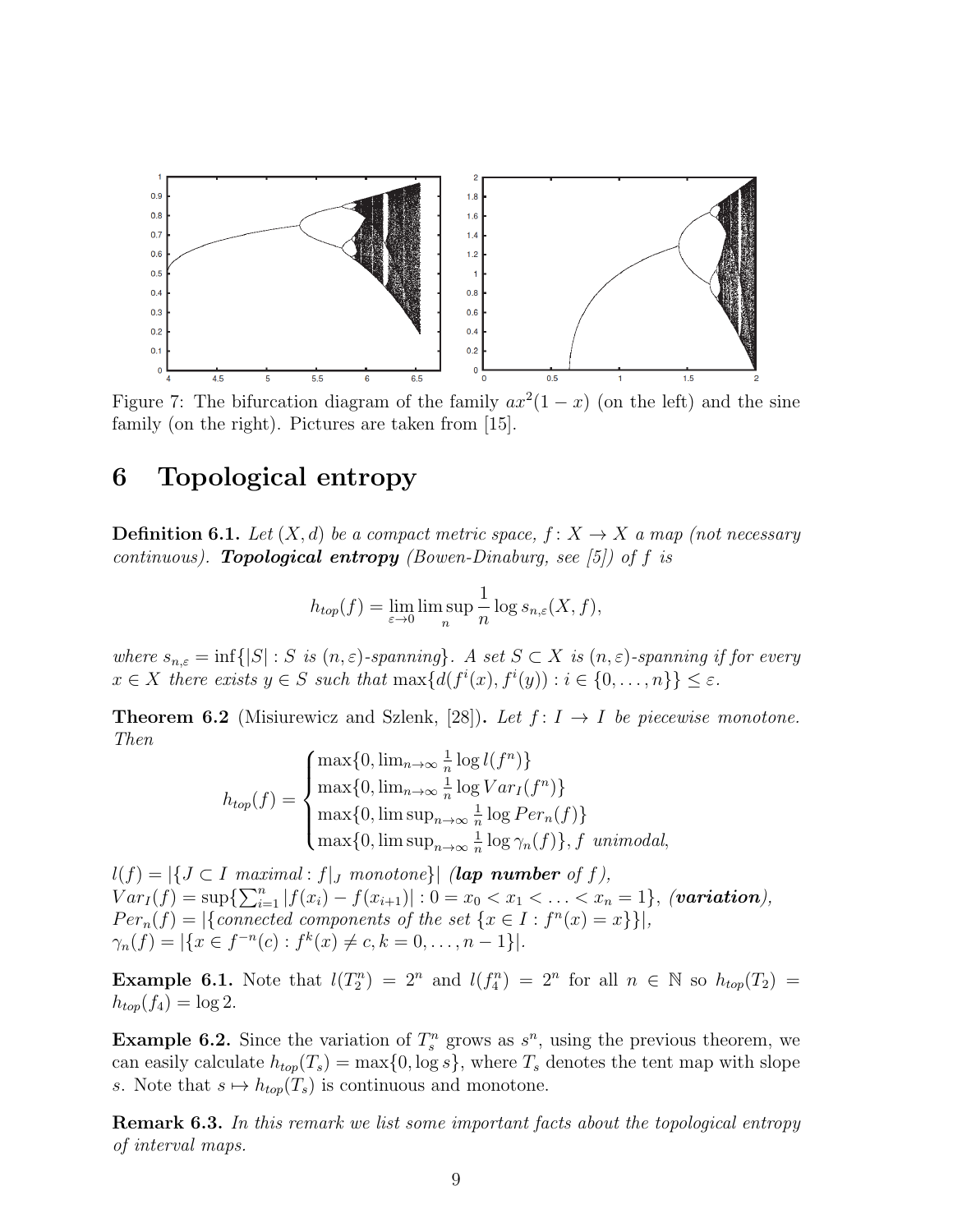

Figure 7: The bifurcation diagram of the family  $ax^2(1-x)$  (on the left) and the sine family (on the right). Pictures are taken from [15].

## 6 Topological entropy

**Definition 6.1.** Let  $(X, d)$  be a compact metric space,  $f: X \to X$  a map (not necessary continuous). **Topological entropy** (Bowen-Dinaburg, see [5]) of f is

$$
h_{top}(f) = \lim_{\varepsilon \to 0} \limsup_{n} \frac{1}{n} \log s_{n,\varepsilon}(X, f),
$$

where  $s_{n,\varepsilon} = \inf\{|S| : S \text{ is } (n,\varepsilon)$ -spanning}. A set  $S \subset X$  is  $(n,\varepsilon)$ -spanning if for every  $x \in X$  there exists  $y \in S$  such that  $\max\{d(f^i(x), f^i(y)) : i \in \{0, ..., n\}\} \leq \varepsilon$ .

**Theorem 6.2** (Misiurewicz and Szlenk, [28]). Let  $f: I \rightarrow I$  be piecewise monotone. Then

$$
h_{top}(f) = \begin{cases} \max\{0, \lim_{n\to\infty} \frac{1}{n} \log l(f^n)\} \\ \max\{0, \lim_{n\to\infty} \frac{1}{n} \log Var_I(f^n)\} \\ \max\{0, \limsup_{n\to\infty} \frac{1}{n} \log Per_n(f)\} \\ \max\{0, \limsup_{n\to\infty} \frac{1}{n} \log \gamma_n(f)\}, f \text{ unimodal,} \end{cases}
$$

 $l(f) = |\{J \subset I \text{ maximal}: f|_J \text{ monotone}\}|$  (lap number of f),  $Var_I(f) = \sup \{ \sum_{i=1}^n |f(x_i) - f(x_{i+1})| : 0 = x_0 < x_1 < \ldots < x_n = 1 \},$  (variation),  $Per_n(f) = |\{connected\ components\ of\ the\ set\ \{x \in I : f^n(x) = x\}\}|,$  $\gamma_n(f) = |\{x \in f^{-n}(c) : f^k(x) \neq c, k = 0, \dots, n-1\}|.$ 

**Example 6.1.** Note that  $l(T_2^n) = 2^n$  and  $l(f_4^n) = 2^n$  for all  $n \in \mathbb{N}$  so  $h_{top}(T_2) =$  $h_{top}(f_4) = \log 2.$ 

**Example 6.2.** Since the variation of  $T_s^n$  grows as  $s^n$ , using the previous theorem, we can easily calculate  $h_{top}(T_s) = \max\{0, \log s\}$ , where  $T_s$  denotes the tent map with slope s. Note that  $s \mapsto h_{top}(T_s)$  is continuous and monotone.

Remark 6.3. In this remark we list some important facts about the topological entropy of interval maps.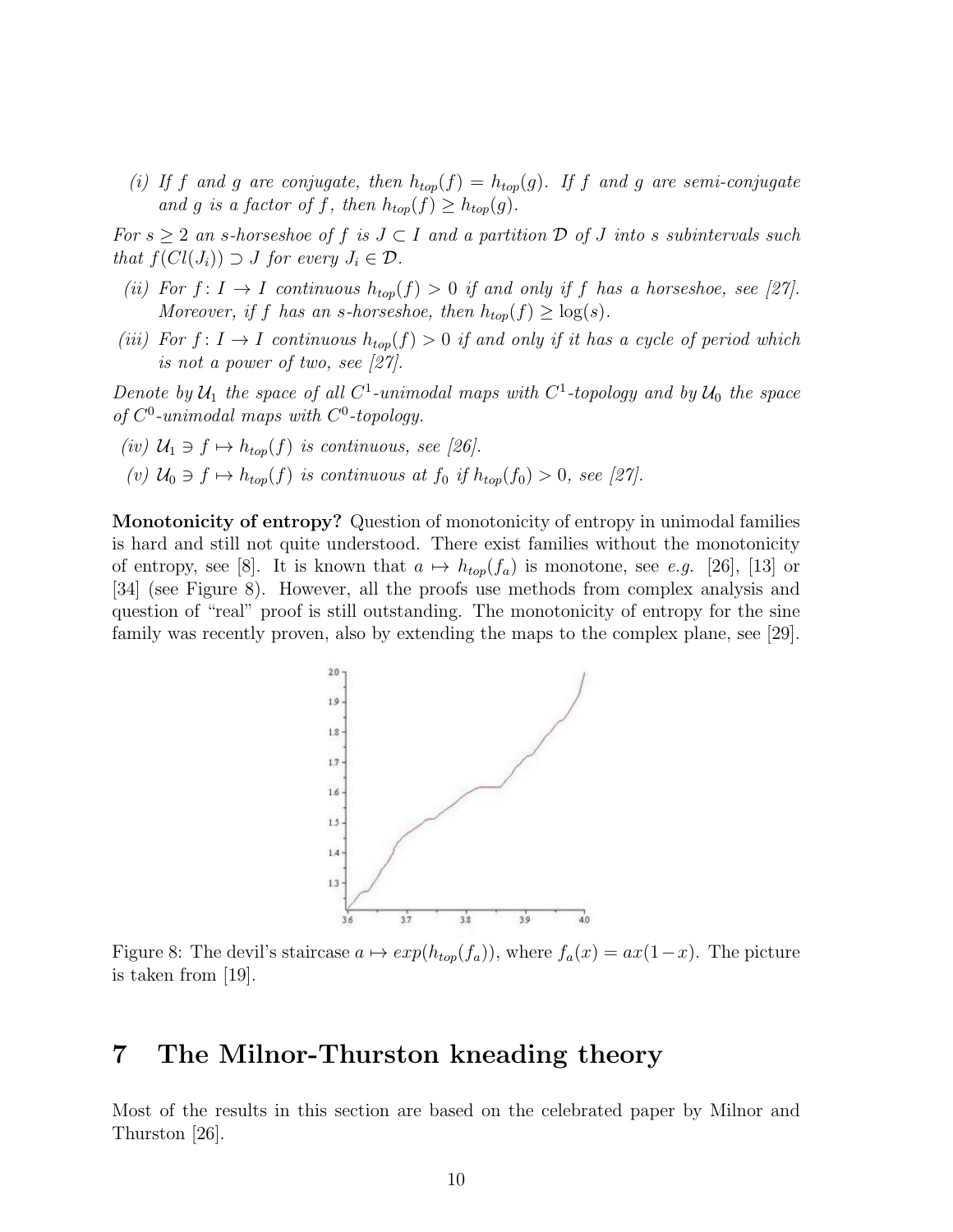(i) If f and g are conjugate, then  $h_{top}(f) = h_{top}(g)$ . If f and g are semi-conjugate and g is a factor of f, then  $h_{top}(f) \geq h_{top}(g)$ .

For  $s \geq 2$  an s-horseshoe of f is  $J \subset I$  and a partition  $D$  of  $J$  into s subintervals such that  $f(Cl(J_i)) \supset J$  for every  $J_i \in \mathcal{D}$ .

- (ii) For  $f: I \to I$  continuous  $h_{top}(f) > 0$  if and only if f has a horseshoe, see [27]. Moreover, if f has an s-horseshoe, then  $h_{top}(f) \geq \log(s)$ .
- (iii) For  $f: I \to I$  continuous  $h_{top}(f) > 0$  if and only if it has a cycle of period which is not a power of two, see [27].

Denote by  $\mathcal{U}_1$  the space of all  $C^1$ -unimodal maps with  $C^1$ -topology and by  $\mathcal{U}_0$  the space of  $C^0$ -unimodal maps with  $C^0$ -topology.

- (iv)  $U_1 \ni f \mapsto h_{top}(f)$  is continuous, see [26].
- (v)  $\mathcal{U}_0 \ni f \mapsto h_{top}(f)$  is continuous at  $f_0$  if  $h_{top}(f_0) > 0$ , see [27].

Monotonicity of entropy? Question of monotonicity of entropy in unimodal families is hard and still not quite understood. There exist families without the monotonicity of entropy, see [8]. It is known that  $a \mapsto h_{top}(f_a)$  is monotone, see e.g. [26], [13] or [34] (see Figure 8). However, all the proofs use methods from complex analysis and question of "real" proof is still outstanding. The monotonicity of entropy for the sine family was recently proven, also by extending the maps to the complex plane, see [29].



Figure 8: The devil's staircase  $a \mapsto exp(h_{top}(f_a))$ , where  $f_a(x) = ax(1-x)$ . The picture is taken from [19].

# 7 The Milnor-Thurston kneading theory

Most of the results in this section are based on the celebrated paper by Milnor and Thurston [26].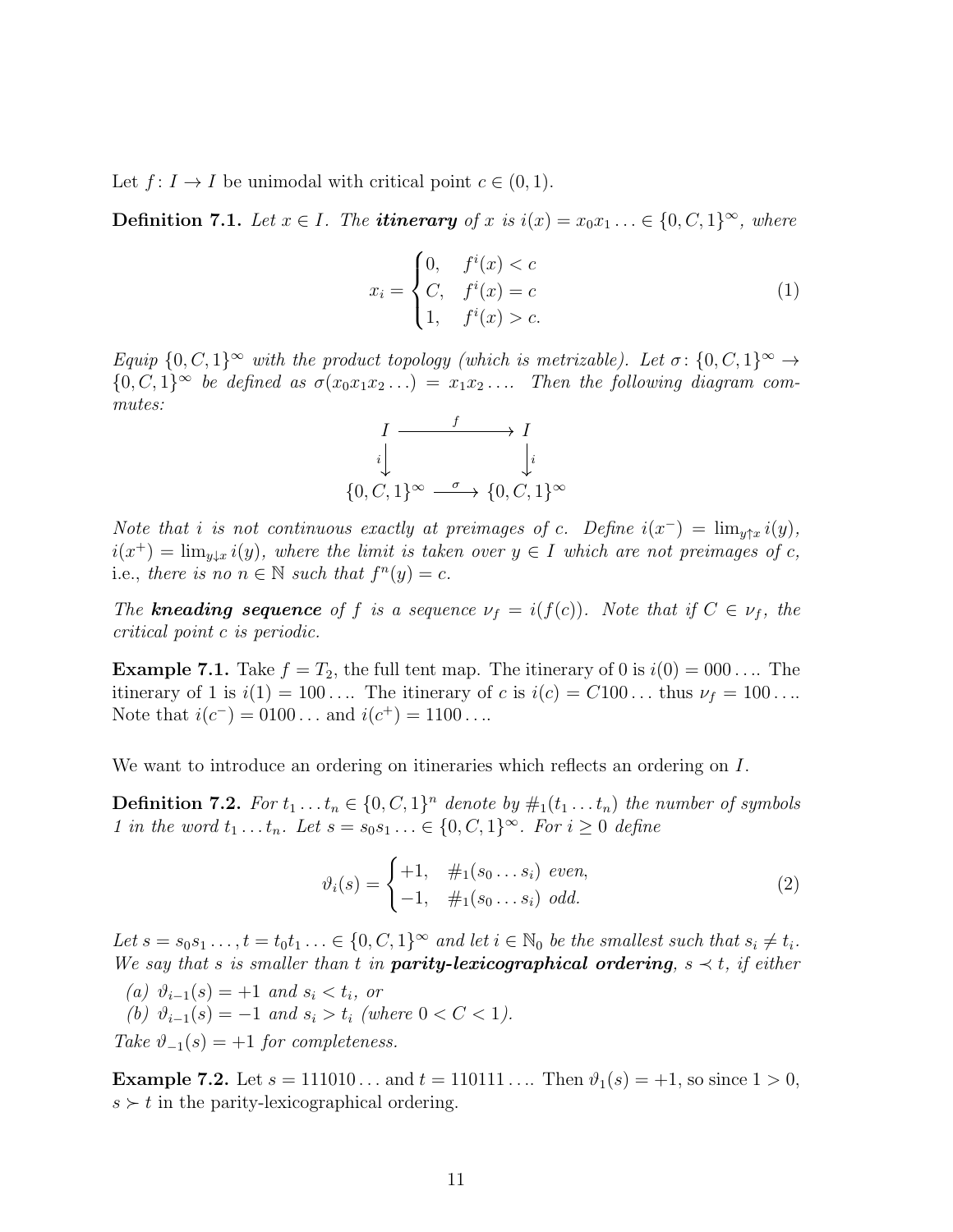Let  $f: I \to I$  be unimodal with critical point  $c \in (0,1)$ .

**Definition 7.1.** Let  $x \in I$ . The **itinerary** of x is  $i(x) = x_0x_1 \ldots \in \{0, C, 1\}^{\infty}$ , where

$$
x_i = \begin{cases} 0, & f^i(x) < c \\ C, & f^i(x) = c \\ 1, & f^i(x) > c. \end{cases}
$$
 (1)

Equip  $\{0, C, 1\}^{\infty}$  with the product topology (which is metrizable). Let  $\sigma: \{0, C, 1\}^{\infty} \to$  ${0, C, 1}^{\infty}$  be defined as  $\sigma(x_0x_1x_2...) = x_1x_2...$  Then the following diagram commutes:



Note that i is not continuous exactly at preimages of c. Define  $i(x^-) = \lim_{y \uparrow x} i(y)$ ,  $i(x^+) = \lim_{y \downarrow x} i(y)$ , where the limit is taken over  $y \in I$  which are not preimages of c, i.e., there is no  $n \in \mathbb{N}$  such that  $f^{n}(y) = c$ .

The **kneading sequence** of f is a sequence  $\nu_f = i(f(c))$ . Note that if  $C \in \nu_f$ , the critical point c is periodic.

**Example 7.1.** Take  $f = T_2$ , the full tent map. The itinerary of 0 is  $i(0) = 000...$  The itinerary of 1 is  $i(1) = 100 \ldots$  The itinerary of c is  $i(c) = C100 \ldots$  thus  $\nu_f = 100 \ldots$ Note that  $i(c^-) = 0100...$  and  $i(c^+) = 1100...$ 

We want to introduce an ordering on itineraries which reflects an ordering on I.

**Definition 7.2.** For  $t_1 \nldots t_n \in \{0, C, 1\}^n$  denote by  $\#_1(t_1 \nldots t_n)$  the number of symbols 1 in the word  $t_1 \ldots t_n$ . Let  $s = s_0 s_1 \ldots \in \{0, C, 1\}^\infty$ . For  $i \geq 0$  define

$$
\vartheta_i(s) = \begin{cases} +1, & \#_1(s_0 \dots s_i) \text{ even,} \\ -1, & \#_1(s_0 \dots s_i) \text{ odd.} \end{cases} \tag{2}
$$

Let  $s = s_0 s_1 \dots, t = t_0 t_1 \dots \in \{0, C, 1\}^{\infty}$  and let  $i \in \mathbb{N}_0$  be the smallest such that  $s_i \neq t_i$ . We say that s is smaller than t in **parity-lexicographical ordering**,  $s \prec t$ , if either

(a)  $\vartheta_{i-1}(s) = +1$  and  $s_i < t_i$ , or (b)  $\vartheta_{i-1}(s) = -1$  and  $s_i > t_i$  (where  $0 < C < 1$ ). Take  $\vartheta_{-1}(s) = +1$  for completeness.

**Example 7.2.** Let  $s = 111010...$  and  $t = 110111...$  Then  $\vartheta_1(s) = +1$ , so since  $1 > 0$ ,  $s \succ t$  in the parity-lexicographical ordering.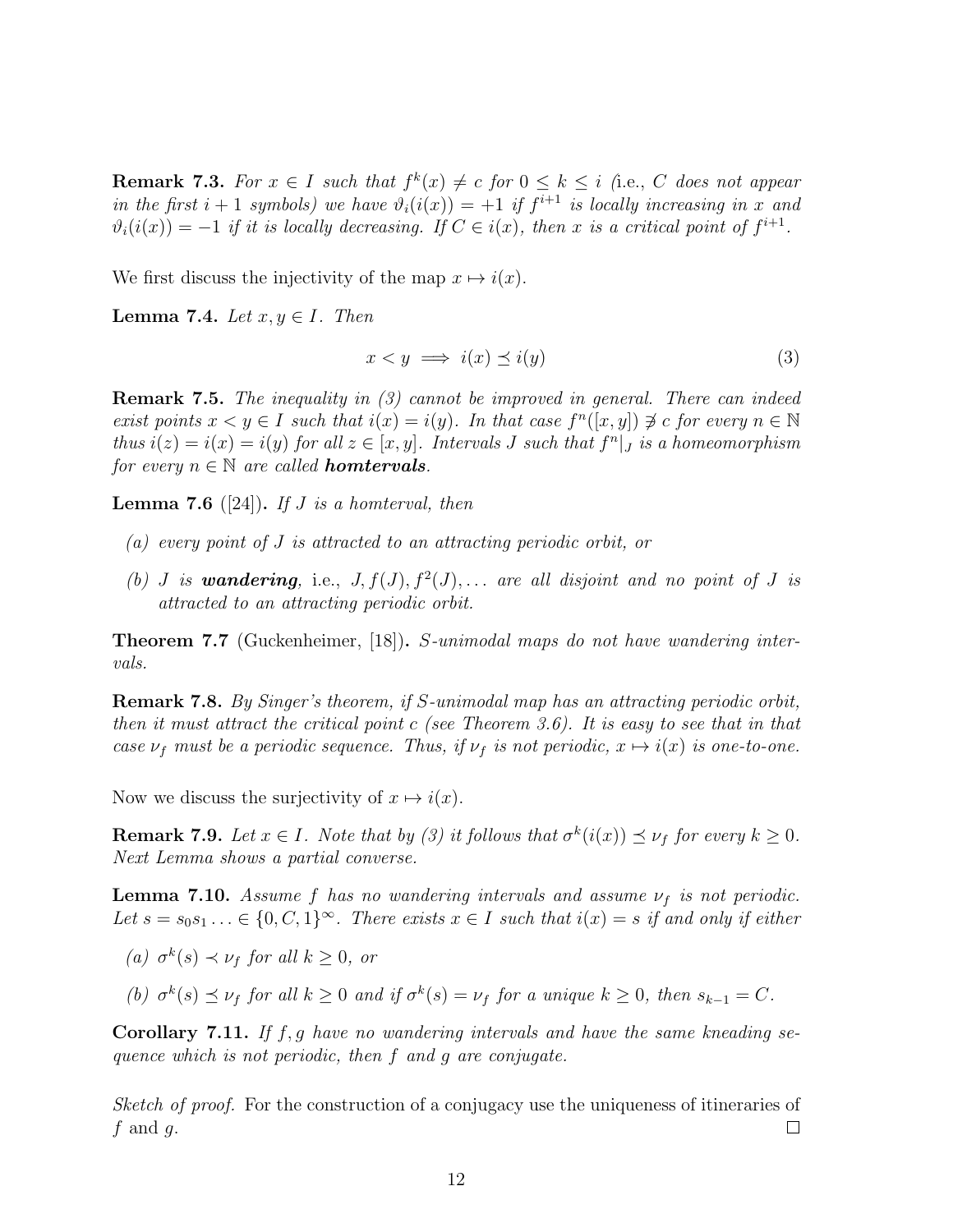**Remark 7.3.** For  $x \in I$  such that  $f^k(x) \neq c$  for  $0 \leq k \leq i$  (i.e., C does not appear in the first  $i + 1$  symbols) we have  $\vartheta_i(i(x)) = +1$  if  $f^{i+1}$  is locally increasing in x and  $\vartheta_i(i(x)) = -1$  if it is locally decreasing. If  $C \in i(x)$ , then x is a critical point of  $f^{i+1}$ .

We first discuss the injectivity of the map  $x \mapsto i(x)$ .

Lemma 7.4. Let  $x, y \in I$ . Then

$$
x < y \implies i(x) \preceq i(y) \tag{3}
$$

Remark 7.5. The inequality in (3) cannot be improved in general. There can indeed exist points  $x < y \in I$  such that  $i(x) = i(y)$ . In that case  $f^{n}([x, y]) \not\ni c$  for every  $n \in \mathbb{N}$ thus  $i(z) = i(x) = i(y)$  for all  $z \in [x, y]$ . Intervals J such that  $f^{n}|_{J}$  is a homeomorphism for every  $n \in \mathbb{N}$  are called **homtervals**.

**Lemma 7.6** ([24]). If J is a homterval, then

- (a) every point of J is attracted to an attracting periodic orbit, or
- (b) *J* is **wandering**, i.e.,  $J, f(J), f^2(J), \ldots$  are all disjoint and no point of *J* is attracted to an attracting periodic orbit.

Theorem 7.7 (Guckenheimer, [18]). S-unimodal maps do not have wandering intervals.

Remark 7.8. By Singer's theorem, if S-unimodal map has an attracting periodic orbit, then it must attract the critical point c (see Theorem 3.6). It is easy to see that in that case  $\nu_f$  must be a periodic sequence. Thus, if  $\nu_f$  is not periodic,  $x \mapsto i(x)$  is one-to-one.

Now we discuss the surjectivity of  $x \mapsto i(x)$ .

**Remark 7.9.** Let  $x \in I$ . Note that by (3) it follows that  $\sigma^k(i(x)) \preceq \nu_f$  for every  $k \geq 0$ . Next Lemma shows a partial converse.

**Lemma 7.10.** Assume f has no wandering intervals and assume  $\nu_f$  is not periodic. Let  $s = s_0 s_1 \ldots \in \{0, C, 1\}^{\infty}$ . There exists  $x \in I$  such that  $i(x) = s$  if and only if either

(a)  $\sigma^k(s) \prec \nu_f$  for all  $k \geq 0$ , or

(b)  $\sigma^k(s) \preceq \nu_f$  for all  $k \geq 0$  and if  $\sigma^k(s) = \nu_f$  for a unique  $k \geq 0$ , then  $s_{k-1} = C$ .

**Corollary 7.11.** If f, g have no wandering intervals and have the same kneading sequence which is not periodic, then f and g are conjugate.

Sketch of proof. For the construction of a conjugacy use the uniqueness of itineraries of  $f$  and  $g$ .  $\Box$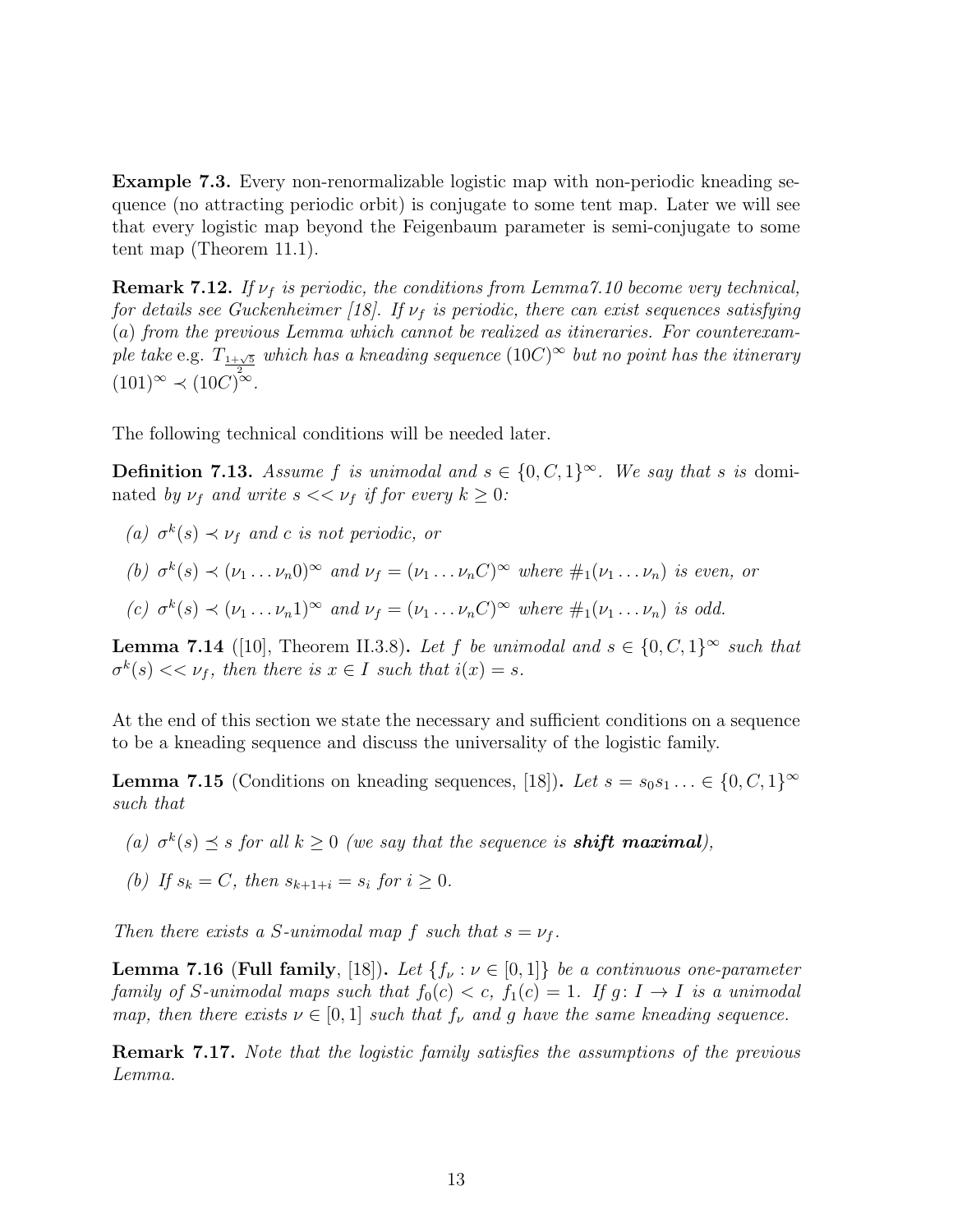Example 7.3. Every non-renormalizable logistic map with non-periodic kneading sequence (no attracting periodic orbit) is conjugate to some tent map. Later we will see that every logistic map beyond the Feigenbaum parameter is semi-conjugate to some tent map (Theorem 11.1).

**Remark 7.12.** If  $\nu_f$  is periodic, the conditions from Lemma 7.10 become very technical, for details see Guckenheimer [18]. If  $\nu_f$  is periodic, there can exist sequences satisfying (a) from the previous Lemma which cannot be realized as itineraries. For counterexample take e.g.  $T_{1+\sqrt{5}}$  which has a kneading sequence  $(10C)^\infty$  but no point has the itinerary  $(101)^{\infty} \prec (10C)^{2\infty}$ .

The following technical conditions will be needed later.

**Definition 7.13.** Assume f is unimodal and  $s \in \{0, C, 1\}^{\infty}$ . We say that s is dominated by  $\nu_f$  and write  $s \ll \nu_f$  if for every  $k \geq 0$ :

- (a)  $\sigma^k(s) \prec \nu_f$  and c is not periodic, or
- (b)  $\sigma^k(s) \prec (\nu_1 \ldots \nu_n 0)^\infty$  and  $\nu_f = (\nu_1 \ldots \nu_n C)^\infty$  where  $\#_1(\nu_1 \ldots \nu_n)$  is even, or
- (c)  $\sigma^k(s) \prec (\nu_1 \ldots \nu_n 1)^\infty$  and  $\nu_f = (\nu_1 \ldots \nu_n C)^\infty$  where  $\#_1(\nu_1 \ldots \nu_n)$  is odd.

**Lemma 7.14** ([10], Theorem II.3.8). Let f be unimodal and  $s \in \{0, C, 1\}^{\infty}$  such that  $\sigma^k(s) \ll \nu_f$ , then there is  $x \in I$  such that  $i(x) = s$ .

At the end of this section we state the necessary and sufficient conditions on a sequence to be a kneading sequence and discuss the universality of the logistic family.

**Lemma 7.15** (Conditions on kneading sequences, [18]). Let  $s = s_0 s_1 \ldots \in \{0, C, 1\}^{\infty}$ such that

- (a)  $\sigma^k(s) \preceq s$  for all  $k \geq 0$  (we say that the sequence is **shift maximal**),
- (b) If  $s_k = C$ , then  $s_{k+1+i} = s_i$  for  $i \ge 0$ .

Then there exists a S-unimodal map f such that  $s = v_f$ .

**Lemma 7.16 (Full family, [18]).** Let  $\{f_\nu : \nu \in [0,1]\}$  be a continuous one-parameter family of S-unimodal maps such that  $f_0(c) < c$ ,  $f_1(c) = 1$ . If  $g: I \to I$  is a unimodal map, then there exists  $\nu \in [0,1]$  such that  $f_{\nu}$  and g have the same kneading sequence.

Remark 7.17. Note that the logistic family satisfies the assumptions of the previous Lemma.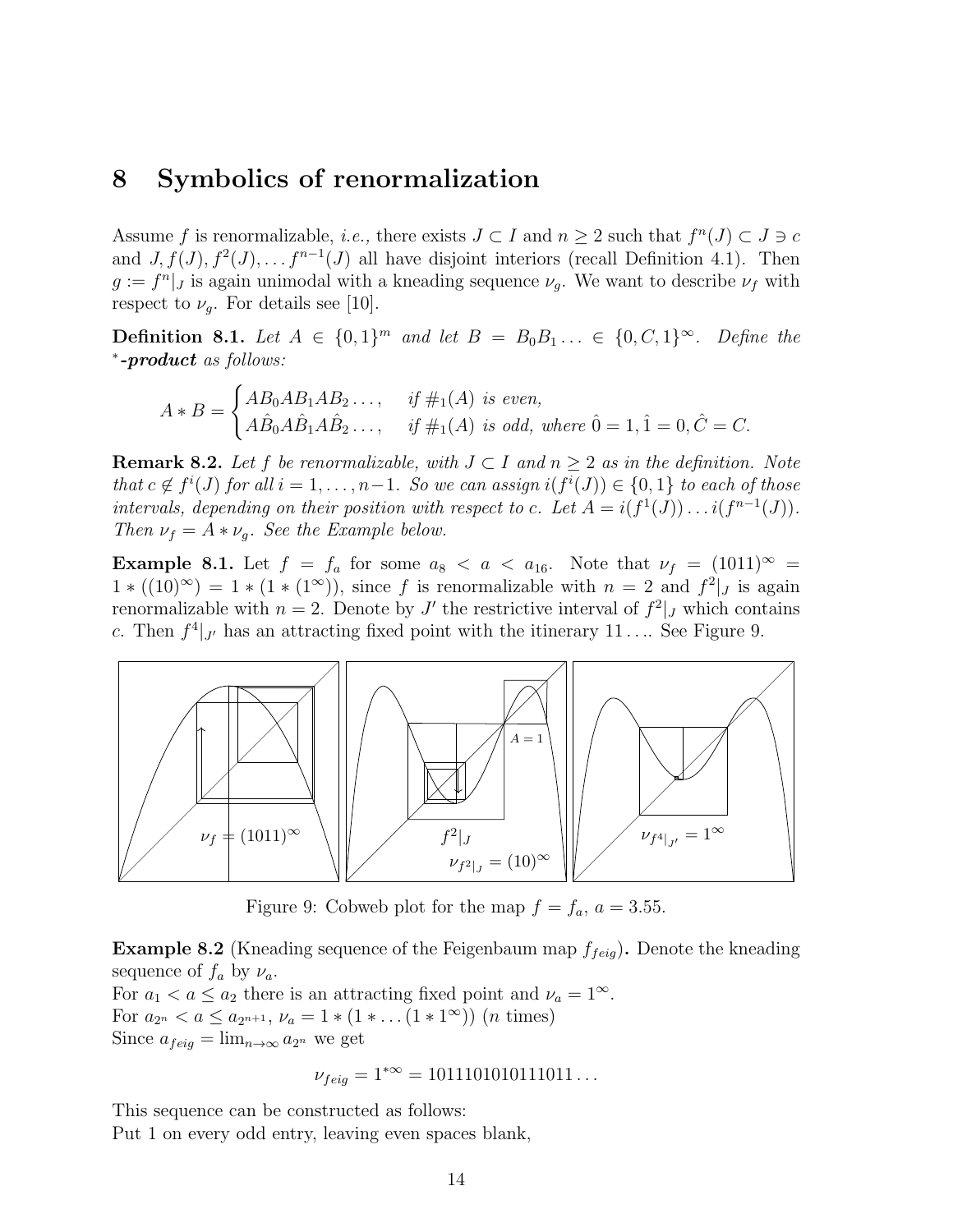#### 8 Symbolics of renormalization

Assume f is renormalizable, *i.e.*, there exists  $J \subset I$  and  $n \geq 2$  such that  $f^{n}(J) \subset J \ni c$ and  $J, f(J), f^2(J), \ldots, f^{n-1}(J)$  all have disjoint interiors (recall Definition 4.1). Then  $g := f<sup>n</sup>$ , is again unimodal with a kneading sequence  $\nu_g$ . We want to describe  $\nu_f$  with respect to  $\nu_g$ . For details see [10].

**Definition 8.1.** Let  $A \in \{0,1\}^m$  and let  $B = B_0 B_1 \ldots \in \{0, C, 1\}^{\infty}$ . Define the \*-product as follows:

$$
A * B = \begin{cases} AB_0 AB_1 AB_2 \dots, & \text{if } \#_1(A) \text{ is even,} \\ A\hat{B}_0 A \hat{B}_1 A \hat{B}_2 \dots, & \text{if } \#_1(A) \text{ is odd, where } 0 = 1, 1 = 0, \hat{C} = C. \end{cases}
$$

**Remark 8.2.** Let f be renormalizable, with  $J \subset I$  and  $n > 2$  as in the definition. Note that  $c \notin f^i(J)$  for all  $i = 1, ..., n-1$ . So we can assign  $i(f^i(J)) \in \{0,1\}$  to each of those intervals, depending on their position with respect to c. Let  $A = i(f^1(J)) \dots i(f^{n-1}(J))$ . Then  $\nu_f = A * \nu_q$ . See the Example below.

**Example 8.1.** Let  $f = f_a$  for some  $a_8 < a < a_{16}$ . Note that  $\nu_f = (1011)^\infty$  $1 * ((10)^\infty) = 1 * (1 * (1^\infty))$ , since f is renormalizable with  $n = 2$  and  $f^2|_J$  is again renormalizable with  $n=2$ . Denote by J' the restrictive interval of  $f^2|_J$  which contains c. Then  $f^4|_{J'}$  has an attracting fixed point with the itinerary 11... See Figure 9.



Figure 9: Cobweb plot for the map  $f = f_a$ ,  $a = 3.55$ .

**Example 8.2** (Kneading sequence of the Feigenbaum map  $f_{feig}$ ). Denote the kneading sequence of  $f_a$  by  $\nu_a$ .

For  $a_1 < a \le a_2$  there is an attracting fixed point and  $\nu_a = 1^\infty$ . For  $a_{2^n} < a \le a_{2^{n+1}}$ ,  $\nu_a = 1 * (1 * ... (1 * 1^{\infty}))$  (*n* times) Since  $a_{feig} = \lim_{n \to \infty} a_{2^n}$  we get

$$
\nu_{feig} = 1^{*\infty} = 1011101010111011...
$$

This sequence can be constructed as follows: Put 1 on every odd entry, leaving even spaces blank,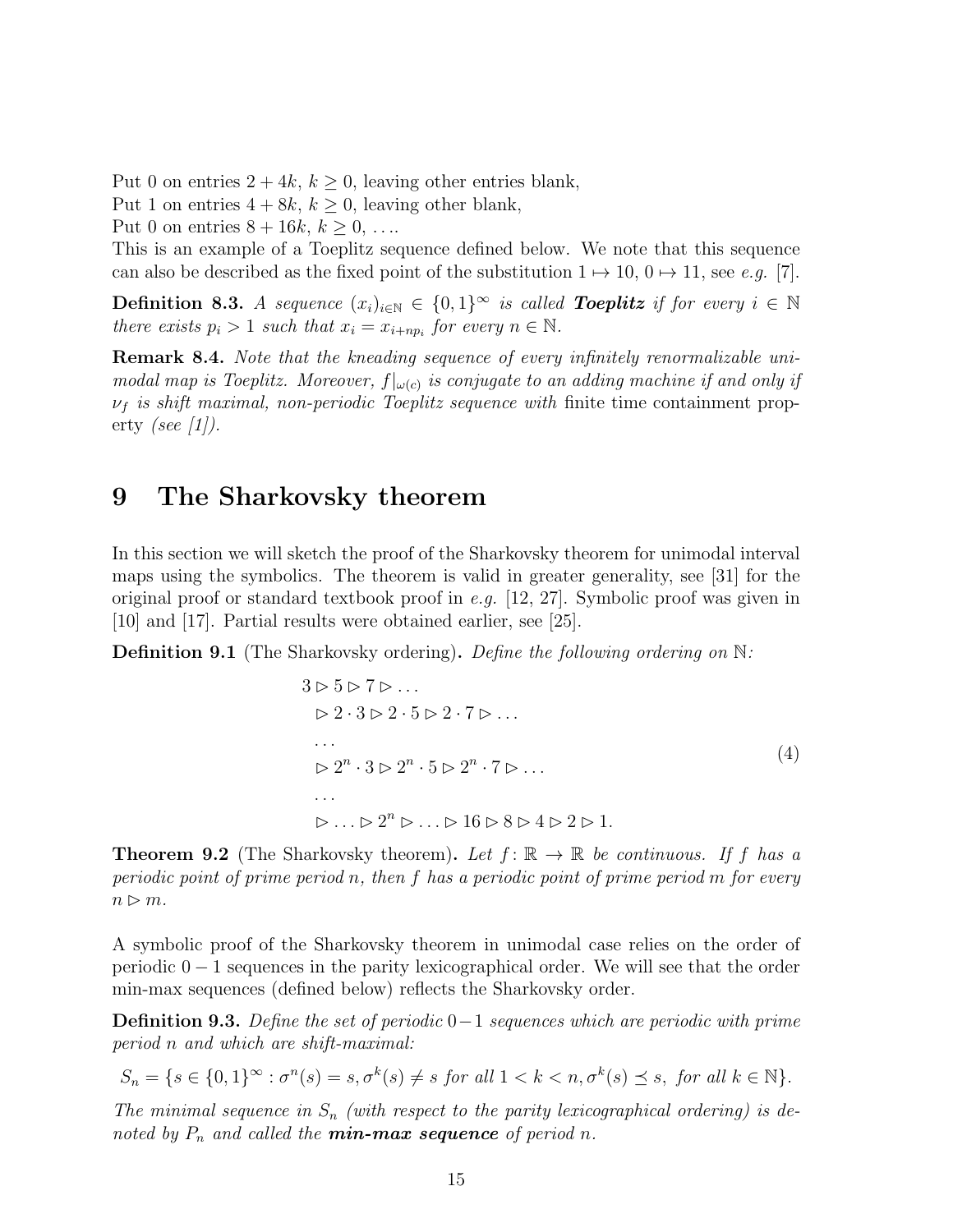Put 0 on entries  $2 + 4k$ ,  $k \ge 0$ , leaving other entries blank, Put 1 on entries  $4 + 8k$ ,  $k \geq 0$ , leaving other blank, Put 0 on entries  $8 + 16k, k \ge 0, \ldots$ 

This is an example of a Toeplitz sequence defined below. We note that this sequence can also be described as the fixed point of the substitution  $1 \mapsto 10, 0 \mapsto 11$ , see e.g. [7].

**Definition 8.3.** A sequence  $(x_i)_{i \in \mathbb{N}} \in \{0,1\}^{\infty}$  is called **Toeplitz** if for every  $i \in \mathbb{N}$ there exists  $p_i > 1$  such that  $x_i = x_{i+np_i}$  for every  $n \in \mathbb{N}$ .

Remark 8.4. Note that the kneading sequence of every infinitely renormalizable unimodal map is Toeplitz. Moreover,  $f|_{\omega(c)}$  is conjugate to an adding machine if and only if  $\nu_f$  is shift maximal, non-periodic Toeplitz sequence with finite time containment property (see  $\lceil 1 \rceil$ ).

#### 9 The Sharkovsky theorem

In this section we will sketch the proof of the Sharkovsky theorem for unimodal interval maps using the symbolics. The theorem is valid in greater generality, see [31] for the original proof or standard textbook proof in e.g. [12, 27]. Symbolic proof was given in [10] and [17]. Partial results were obtained earlier, see [25].

**Definition 9.1** (The Sharkovsky ordering). Define the following ordering on  $\mathbb{N}$ :

$$
3 \triangleright 5 \triangleright 7 \triangleright \dots
$$
  
\n
$$
\triangleright 2 \cdot 3 \triangleright 2 \cdot 5 \triangleright 2 \cdot 7 \triangleright \dots
$$
  
\n...  
\n
$$
\triangleright 2^{n} \cdot 3 \triangleright 2^{n} \cdot 5 \triangleright 2^{n} \cdot 7 \triangleright \dots
$$
  
\n...  
\n
$$
\triangleright \dots \triangleright 2^{n} \triangleright \dots \triangleright 16 \triangleright 8 \triangleright 4 \triangleright 2 \triangleright 1.
$$
  
\n(4)

**Theorem 9.2** (The Sharkovsky theorem). Let  $f: \mathbb{R} \to \mathbb{R}$  be continuous. If f has a periodic point of prime period n, then f has a periodic point of prime period m for every  $n \triangleright m$ .

A symbolic proof of the Sharkovsky theorem in unimodal case relies on the order of periodic  $0 - 1$  sequences in the parity lexicographical order. We will see that the order min-max sequences (defined below) reflects the Sharkovsky order.

**Definition 9.3.** Define the set of periodic 0−1 sequences which are periodic with prime period n and which are shift-maximal:

$$
S_n = \{ s \in \{0,1\}^\infty : \sigma^n(s) = s, \sigma^k(s) \neq s \text{ for all } 1 < k < n, \sigma^k(s) \leq s, \text{ for all } k \in \mathbb{N} \}.
$$

The minimal sequence in  $S_n$  (with respect to the parity lexicographical ordering) is denoted by  $P_n$  and called the **min-max sequence** of period n.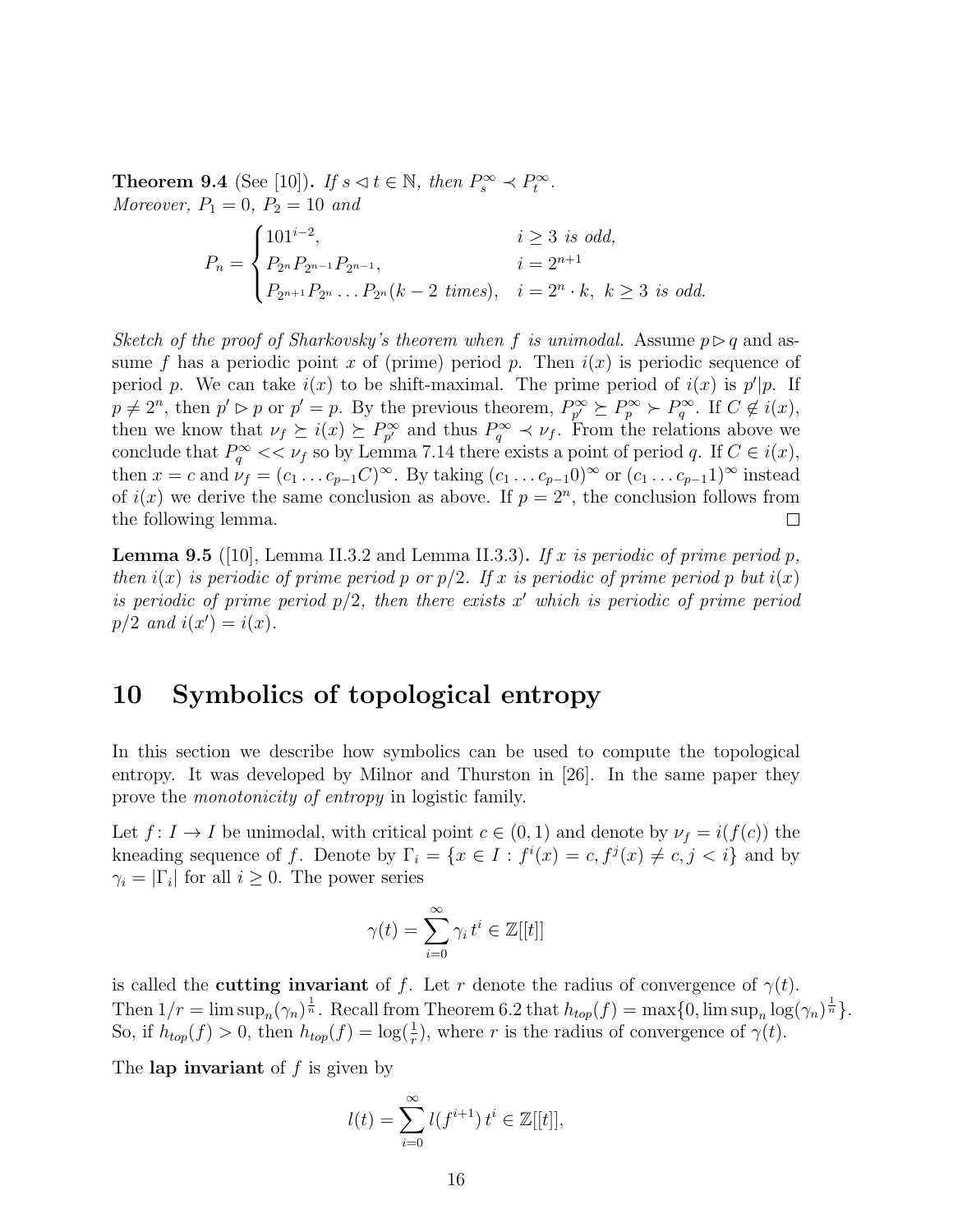**Theorem 9.4** (See [10]). If  $s \le t \in \mathbb{N}$ , then  $P_s^{\infty} \le P_t^{\infty}$ . Moreover,  $P_1 = 0, P_2 = 10$  and

$$
P_n = \begin{cases} 101^{i-2}, & i \ge 3 \text{ is odd,} \\ P_{2^n} P_{2^{n-1}} P_{2^{n-1}}, & i = 2^{n+1} \\ P_{2^{n+1}} P_{2^n} \dots P_{2^n} (k-2 \text{ times}), & i = 2^n \cdot k, \ k \ge 3 \text{ is odd.} \end{cases}
$$

Sketch of the proof of Sharkovsky's theorem when f is unimodal. Assume  $p \triangleright q$  and assume f has a periodic point x of (prime) period p. Then  $i(x)$  is periodic sequence of period p. We can take  $i(x)$  to be shift-maximal. The prime period of  $i(x)$  is  $p'|p$ . If  $p \neq 2^n$ , then  $p' \rhd p$  or  $p' = p$ . By the previous theorem,  $P_{p'}^{\infty} \succeq P_p^{\infty} \succ P_q^{\infty}$ . If  $C \not\in i(x)$ , then we know that  $\nu_f \geq i(x) \geq P_{p'}^{\infty}$  and thus  $P_q^{\infty} \prec \nu_f$ . From the relations above we conclude that  $P_q^{\infty} \ll \nu_f$  so by Lemma 7.14 there exists a point of period q. If  $C \in i(x)$ , then  $x = c$  and  $\nu_f = (c_1 \dots c_{p-1} C)^\infty$ . By taking  $(c_1 \dots c_{p-1} 0)^\infty$  or  $(c_1 \dots c_{p-1} 1)^\infty$  instead of  $i(x)$  we derive the same conclusion as above. If  $p = 2<sup>n</sup>$ , the conclusion follows from the following lemma.  $\Box$ 

**Lemma 9.5** ([10], Lemma II.3.2 and Lemma II.3.3). If x is periodic of prime period p, then  $i(x)$  is periodic of prime period p or  $p/2$ . If x is periodic of prime period p but  $i(x)$ is periodic of prime period  $p/2$ , then there exists x' which is periodic of prime period  $p/2$  and  $i(x') = i(x)$ .

# 10 Symbolics of topological entropy

In this section we describe how symbolics can be used to compute the topological entropy. It was developed by Milnor and Thurston in [26]. In the same paper they prove the monotonicity of entropy in logistic family.

Let  $f: I \to I$  be unimodal, with critical point  $c \in (0,1)$  and denote by  $\nu_f = i(f(c))$  the kneading sequence of f. Denote by  $\Gamma_i = \{x \in I : f^i(x) = c, f^j(x) \neq c, j < i\}$  and by  $\gamma_i = |\Gamma_i|$  for all  $i \geq 0$ . The power series

$$
\gamma(t) = \sum_{i=0}^{\infty} \gamma_i t^i \in \mathbb{Z}[[t]]
$$

is called the **cutting invariant** of f. Let r denote the radius of convergence of  $\gamma(t)$ . Then  $1/r = \limsup_n (\gamma_n)^{\frac{1}{n}}$ . Recall from Theorem 6.2 that  $h_{top}(f) = \max\{0, \limsup_n \log(\gamma_n)^{\frac{1}{n}}\}.$ So, if  $h_{top}(f) > 0$ , then  $h_{top}(f) = \log(\frac{1}{r})$ , where r is the radius of convergence of  $\gamma(t)$ .

The lap invariant of  $f$  is given by

$$
l(t) = \sum_{i=0}^{\infty} l(f^{i+1}) t^i \in \mathbb{Z}[[t]],
$$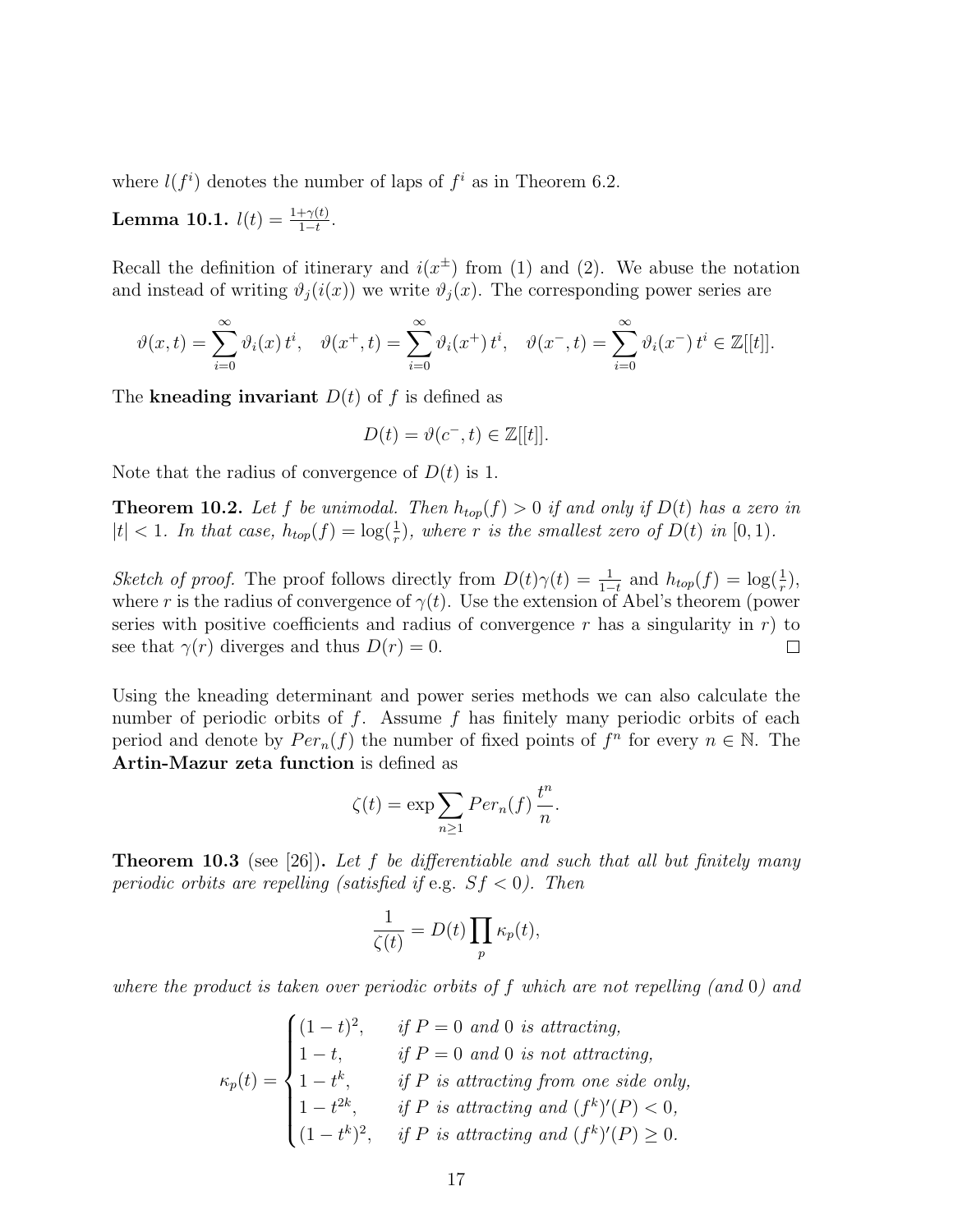where  $l(f^i)$  denotes the number of laps of  $f^i$  as in Theorem 6.2.

**Lemma 10.1.**  $l(t) = \frac{1+\gamma(t)}{1-t}$ .

Recall the definition of itinerary and  $i(x^{\pm})$  from (1) and (2). We abuse the notation and instead of writing  $\vartheta_i(i(x))$  we write  $\vartheta_i(x)$ . The corresponding power series are

$$
\vartheta(x,t) = \sum_{i=0}^{\infty} \vartheta_i(x) t^i, \quad \vartheta(x^+,t) = \sum_{i=0}^{\infty} \vartheta_i(x^+) t^i, \quad \vartheta(x^-,t) = \sum_{i=0}^{\infty} \vartheta_i(x^-) t^i \in \mathbb{Z}[[t]].
$$

The kneading invariant  $D(t)$  of f is defined as

$$
D(t) = \vartheta(c^-, t) \in \mathbb{Z}[[t]].
$$

Note that the radius of convergence of  $D(t)$  is 1.

**Theorem 10.2.** Let f be unimodal. Then  $h_{top}(f) > 0$  if and only if  $D(t)$  has a zero in  $|t| < 1$ . In that case,  $h_{top}(f) = \log(\frac{1}{r})$ , where r is the smallest zero of  $D(t)$  in  $[0, 1)$ .

Sketch of proof. The proof follows directly from  $D(t)\gamma(t) = \frac{1}{1-t}$  and  $h_{top}(f) = \log(\frac{1}{r}),$ where r is the radius of convergence of  $\gamma(t)$ . Use the extension of Abel's theorem (power series with positive coefficients and radius of convergence r has a singularity in  $r$ ) to see that  $\gamma(r)$  diverges and thus  $D(r) = 0$ .  $\Box$ 

Using the kneading determinant and power series methods we can also calculate the number of periodic orbits of  $f$ . Assume  $f$  has finitely many periodic orbits of each period and denote by  $Per_n(f)$  the number of fixed points of  $f^n$  for every  $n \in \mathbb{N}$ . The Artin-Mazur zeta function is defined as

$$
\zeta(t) = \exp \sum_{n \ge 1} Per_n(f) \frac{t^n}{n}.
$$

**Theorem 10.3** (see [26]). Let f be differentiable and such that all but finitely many periodic orbits are repelling (satisfied if e.g.  $Sf < 0$ ). Then

$$
\frac{1}{\zeta(t)} = D(t) \prod_{p} \kappa_p(t),
$$

where the product is taken over periodic orbits of f which are not repelling (and 0) and

 $\kappa_p(t)=$  $\sqrt{ }$  $\int$  $\overline{\mathcal{L}}$  $(1-t)^2$ , if  $P=0$  and 0 is attracting,  $1-t$ , if  $P=0$  and 0 is not attracting,  $1-t^k$ , if P is attracting from one side only,  $1-t^{2k}$ , if P is attracting and  $(f^k)'(P) < 0$ ,  $(1-t^k)^2$ , if P is attracting and  $(f^k)'(P) \geq 0$ .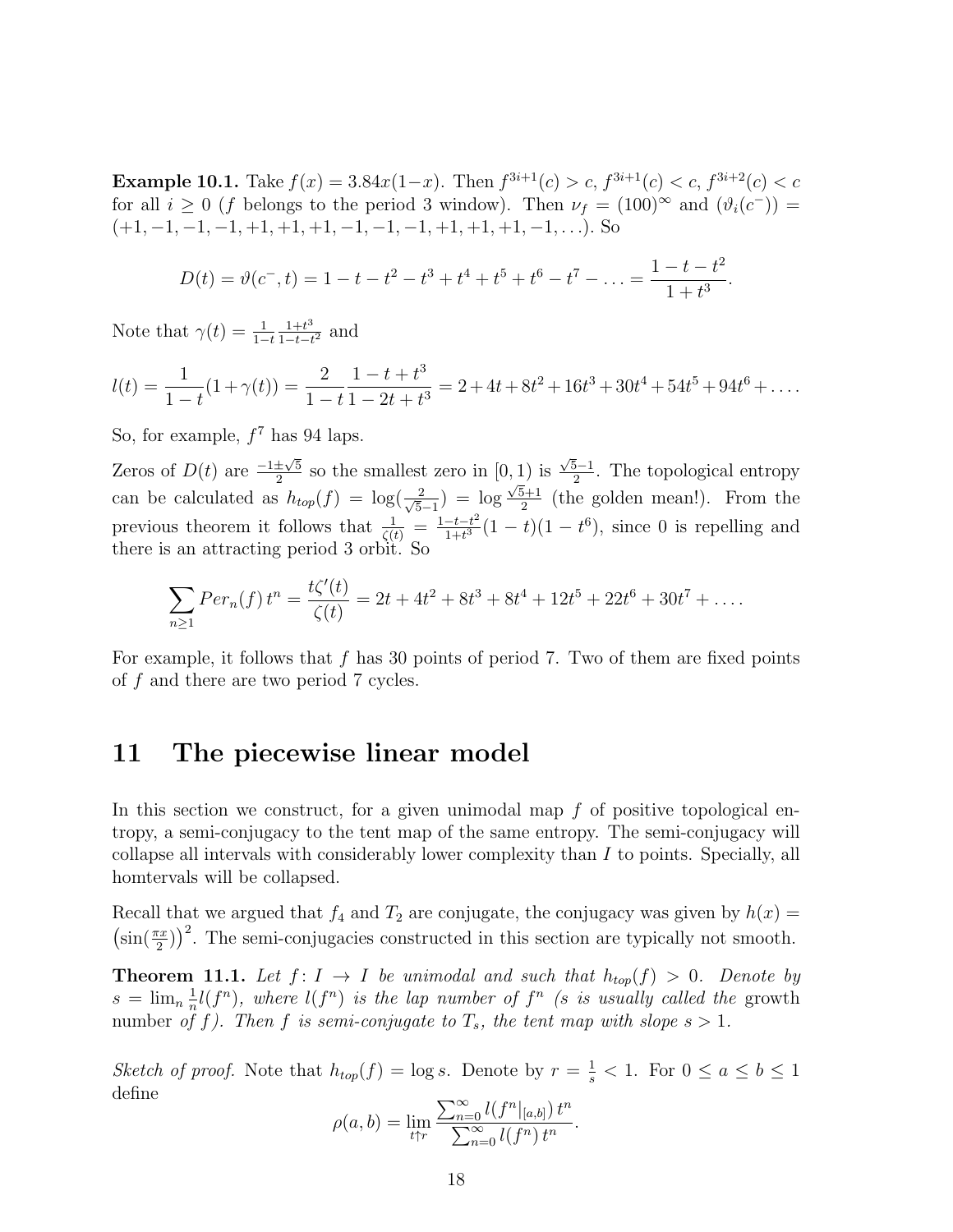**Example 10.1.** Take  $f(x) = 3.84x(1-x)$ . Then  $f^{3i+1}(c) > c$ ,  $f^{3i+1}(c) < c$ ,  $f^{3i+2}(c) < c$ for all  $i \geq 0$  (f belongs to the period 3 window). Then  $\nu_f = (100)^\infty$  and  $(\vartheta_i(c^-))$  $(+1, -1, -1, -1, +1, +1, +1, -1, -1, -1, +1, +1, +1, -1, \ldots)$ . So

$$
D(t) = \vartheta(c^-, t) = 1 - t - t^2 - t^3 + t^4 + t^5 + t^6 - t^7 - \ldots = \frac{1 - t - t^2}{1 + t^3}.
$$

Note that  $\gamma(t) = \frac{1}{1-t}$  $1+t^3$  $\frac{1+t^3}{1-t-t^2}$  and

$$
l(t) = \frac{1}{1-t}(1+\gamma(t)) = \frac{2}{1-t}\frac{1-t+t^3}{1-2t+t^3} = 2+4t+8t^2+16t^3+30t^4+54t^5+94t^6+\ldots
$$

So, for example,  $f^7$  has 94 laps.

Zeros of  $D(t)$  are  $\frac{-1 \pm \sqrt{5}}{2}$  so the smallest zero in [0, 1) is 2 so the smallest zero in  $\left[\frac{0,1}{1}\right]$  is 2  $\frac{\sqrt{5}-1}{2}$ . The topological entropy can be calculated as  $h_{top}(f) = \log(\frac{2}{\sqrt{5}})$  $\frac{2}{5-1}$ ) = log  $\frac{1}{\sqrt{5}+1}$  $\frac{5+1}{2}$  (the golden mean!). From the previous theorem it follows that  $\frac{1}{\zeta(t)} = \frac{1-t-t^2}{1+t^3}$  $\frac{-t-t^2}{1+t^3}(1-t)(1-t^6)$ , since 0 is repelling and there is an attracting period 3 orbit. So

$$
\sum_{n\geq 1} Per_n(f) t^n = \frac{t\zeta'(t)}{\zeta(t)} = 2t + 4t^2 + 8t^3 + 8t^4 + 12t^5 + 22t^6 + 30t^7 + \dots
$$

For example, it follows that  $f$  has 30 points of period 7. Two of them are fixed points of f and there are two period 7 cycles.

## 11 The piecewise linear model

In this section we construct, for a given unimodal map  $f$  of positive topological entropy, a semi-conjugacy to the tent map of the same entropy. The semi-conjugacy will collapse all intervals with considerably lower complexity than I to points. Specially, all homtervals will be collapsed.

Recall that we argued that  $f_4$  and  $T_2$  are conjugate, the conjugacy was given by  $h(x) =$  $\left(\sin(\frac{\pi x}{2})\right)^2$ . The semi-conjugacies constructed in this section are typically not smooth.

**Theorem 11.1.** Let  $f: I \to I$  be unimodal and such that  $h_{top}(f) > 0$ . Denote by  $s = \lim_{n \to \infty} \frac{1}{n}$  $\frac{1}{n}l(f^n)$ , where  $l(f^n)$  is the lap number of  $f^n$  (s is usually called the growth number of f). Then f is semi-conjugate to  $T_s$ , the tent map with slope  $s > 1$ .

Sketch of proof. Note that  $h_{top}(f) = \log s$ . Denote by  $r = \frac{1}{s} < 1$ . For  $0 \le a \le b \le 1$ define

$$
\rho(a, b) = \lim_{t \uparrow r} \frac{\sum_{n=0}^{\infty} l(f^n|_{[a,b]}) t^n}{\sum_{n=0}^{\infty} l(f^n) t^n}.
$$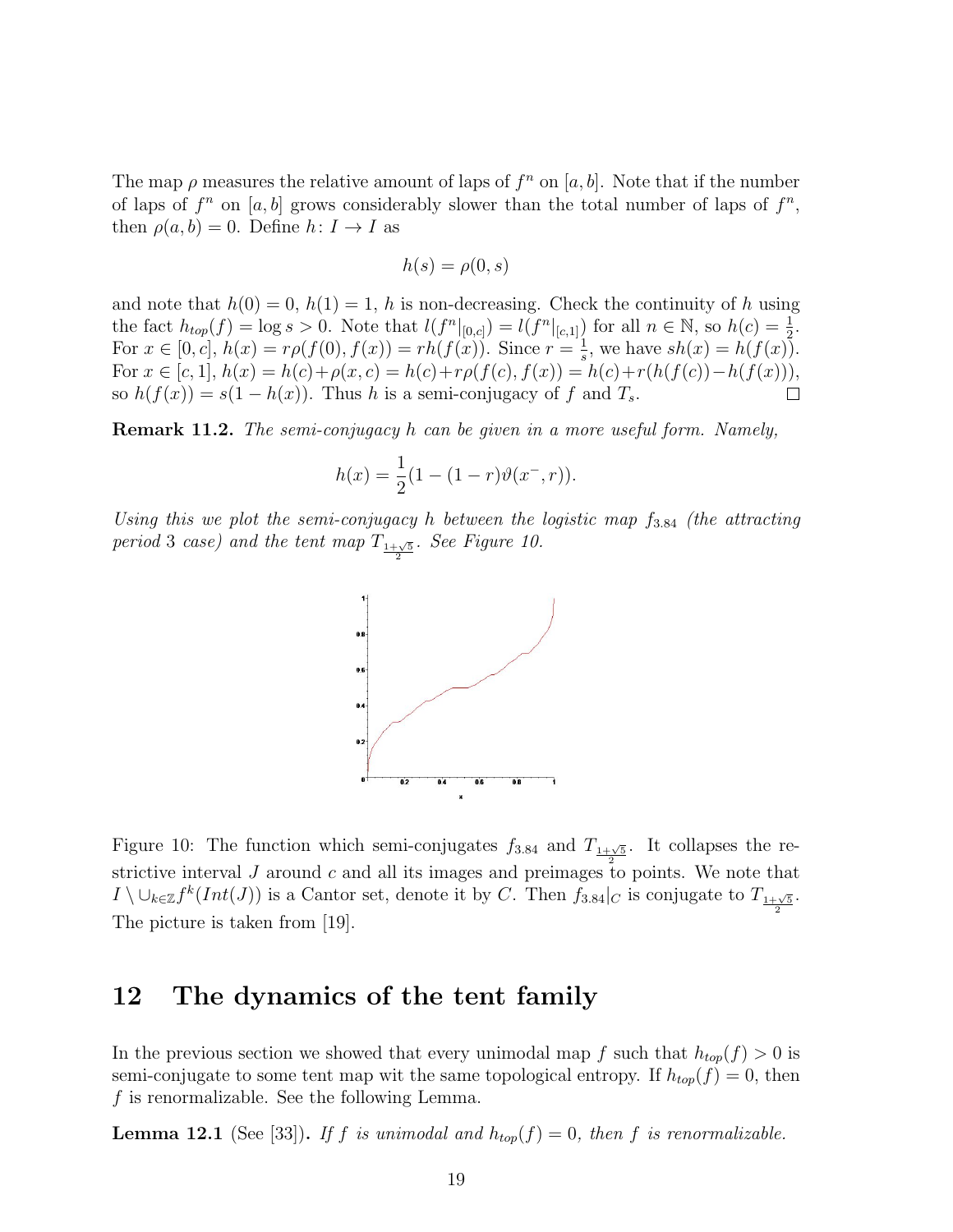The map  $\rho$  measures the relative amount of laps of  $f^n$  on [a, b]. Note that if the number of laps of  $f^n$  on [a, b] grows considerably slower than the total number of laps of  $f^n$ , then  $\rho(a, b) = 0$ . Define  $h: I \to I$  as

$$
h(s) = \rho(0, s)
$$

and note that  $h(0) = 0$ ,  $h(1) = 1$ , h is non-decreasing. Check the continuity of h using the fact  $h_{top}(f) = \log s > 0$ . Note that  $l(f^n|_{[0,c]}) = l(f^n|_{[c,1]})$  for all  $n \in \mathbb{N}$ , so  $h(c) = \frac{1}{2}$ . For  $x \in [0, c]$ ,  $h(x) = rp(f(0), f(x)) = rh(f(x))$ . Since  $r = \frac{1}{s}$ , we have  $sh(x) = h(f(x))$ .  $\frac{1}{s}$ , we have  $sh(x) = h(f(x))$ . For  $x \in [c, 1], h(x) = h(c) + \rho(x, c) = h(c) + r\rho(f(c), f(x)) = h(c) + r(h(f(c)) - h(f(x))),$ so  $h(f(x)) = s(1 - h(x))$ . Thus h is a semi-conjugacy of f and  $T_s$ .  $\Box$ 

Remark 11.2. The semi-conjugacy h can be given in a more useful form. Namely,

$$
h(x) = \frac{1}{2}(1 - (1 - r)\vartheta(x^{-}, r)).
$$

Using this we plot the semi-conjugacy h between the logistic map  $f_{3.84}$  (the attracting period 3 case) and the tent map  $T_{\frac{1+\sqrt{5}}{2}}$ . See Figure 10.



Figure 10: The function which semi-conjugates  $f_{3.84}$  and  $T_{1+\sqrt{5}}$ . It collapses the restrictive interval J around c and all its images and preimages to points. We note that  $I \setminus \cup_{k \in \mathbb{Z}} f^k(Int(J))$  is a Cantor set, denote it by C. Then  $f_{3.84}|_C$  is conjugate to  $T_{\frac{1+\sqrt{5}}{2}}$ . The picture is taken from [19].

# 12 The dynamics of the tent family

In the previous section we showed that every unimodal map f such that  $h_{top}(f) > 0$  is semi-conjugate to some tent map wit the same topological entropy. If  $h_{top}(f) = 0$ , then f is renormalizable. See the following Lemma.

**Lemma 12.1** (See [33]). If f is unimodal and  $h_{top}(f) = 0$ , then f is renormalizable.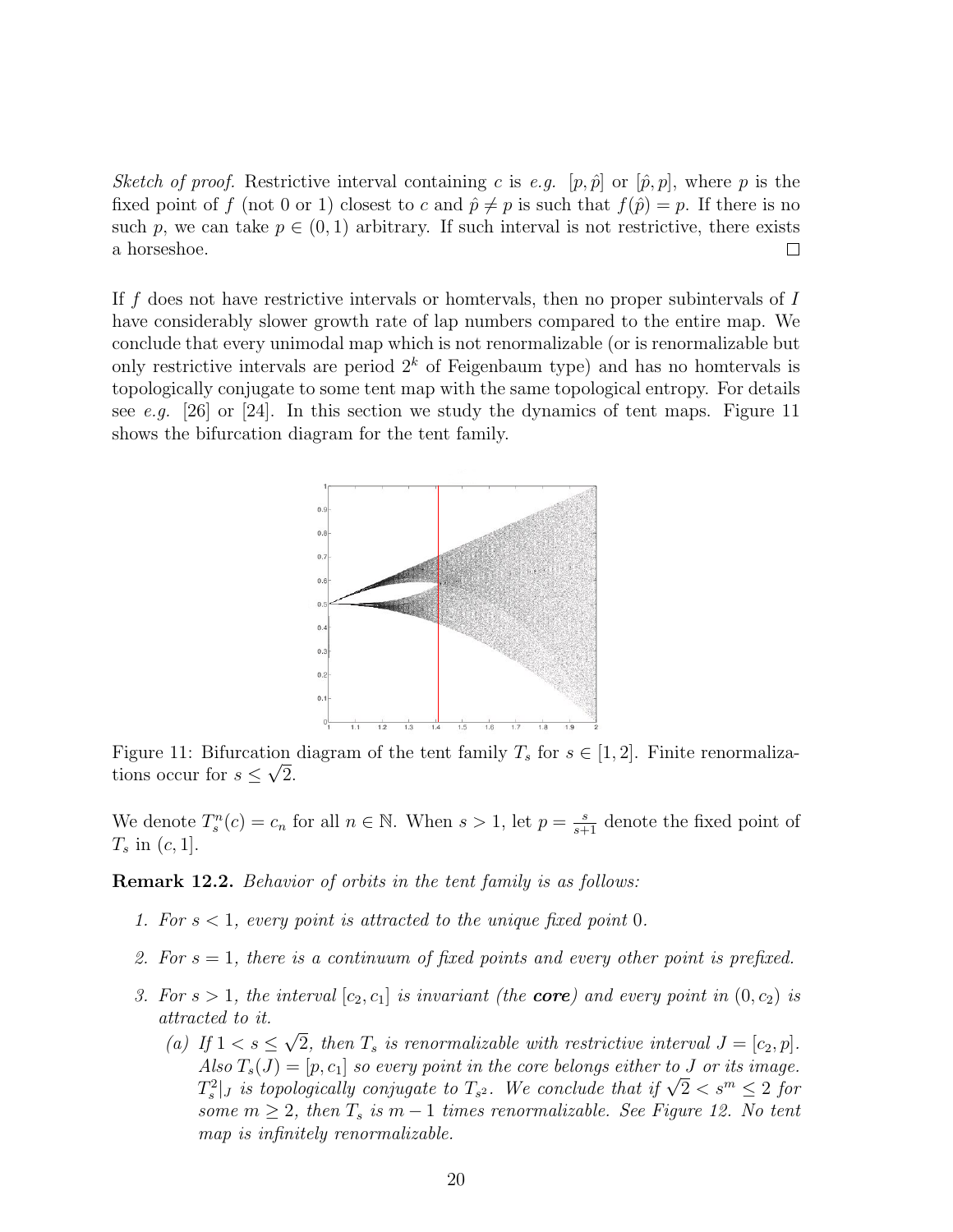Sketch of proof. Restrictive interval containing c is e.g.  $[p, \hat{p}]$  or  $[\hat{p}, p]$ , where p is the fixed point of f (not 0 or 1) closest to c and  $\hat{p} \neq p$  is such that  $f(\hat{p}) = p$ . If there is no such p, we can take  $p \in (0, 1)$  arbitrary. If such interval is not restrictive, there exists a horseshoe.  $\Box$ 

If f does not have restrictive intervals or homervals, then no proper subintervals of  $I$ have considerably slower growth rate of lap numbers compared to the entire map. We conclude that every unimodal map which is not renormalizable (or is renormalizable but only restrictive intervals are period  $2<sup>k</sup>$  of Feigenbaum type) and has no hometryals is topologically conjugate to some tent map with the same topological entropy. For details see e.g. [26] or [24]. In this section we study the dynamics of tent maps. Figure 11 shows the bifurcation diagram for the tent family.



Figure 11: Bifurcation diagram of the tent family  $T_s$  for  $s \in [1,2]$ . Finite renormalizations occur for  $s \leq \sqrt{2}$ .

We denote  $T_s^n(c) = c_n$  for all  $n \in \mathbb{N}$ . When  $s > 1$ , let  $p = \frac{s}{s+1}$  denote the fixed point of  $T_s$  in  $(c, 1]$ .

Remark 12.2. Behavior of orbits in the tent family is as follows:

- 1. For  $s < 1$ , every point is attracted to the unique fixed point 0.
- 2. For  $s = 1$ , there is a continuum of fixed points and every other point is prefixed.
- 3. For  $s > 1$ , the interval  $[c_2, c_1]$  is invariant (the **core**) and every point in  $(0, c_2)$  is attracted to it. √
	- (a) If  $1 < s \leq$ 2, then  $T_s$  is renormalizable with restrictive interval  $J = [c_2, p]$ . Also  $T_s(J) = [p, c_1]$  so every point in the core belongs either to J or its image. Also  $I_s(J) = [p, c_1]$  so every point in the core belongs either to J or its image.<br> $T_s^2|_J$  is topologically conjugate to  $T_{s^2}$ . We conclude that if  $\sqrt{2} < s^m \leq 2$  for some  $m \geq 2$ , then  $T_s$  is  $m-1$  times renormalizable. See Figure 12. No tent map is infinitely renormalizable.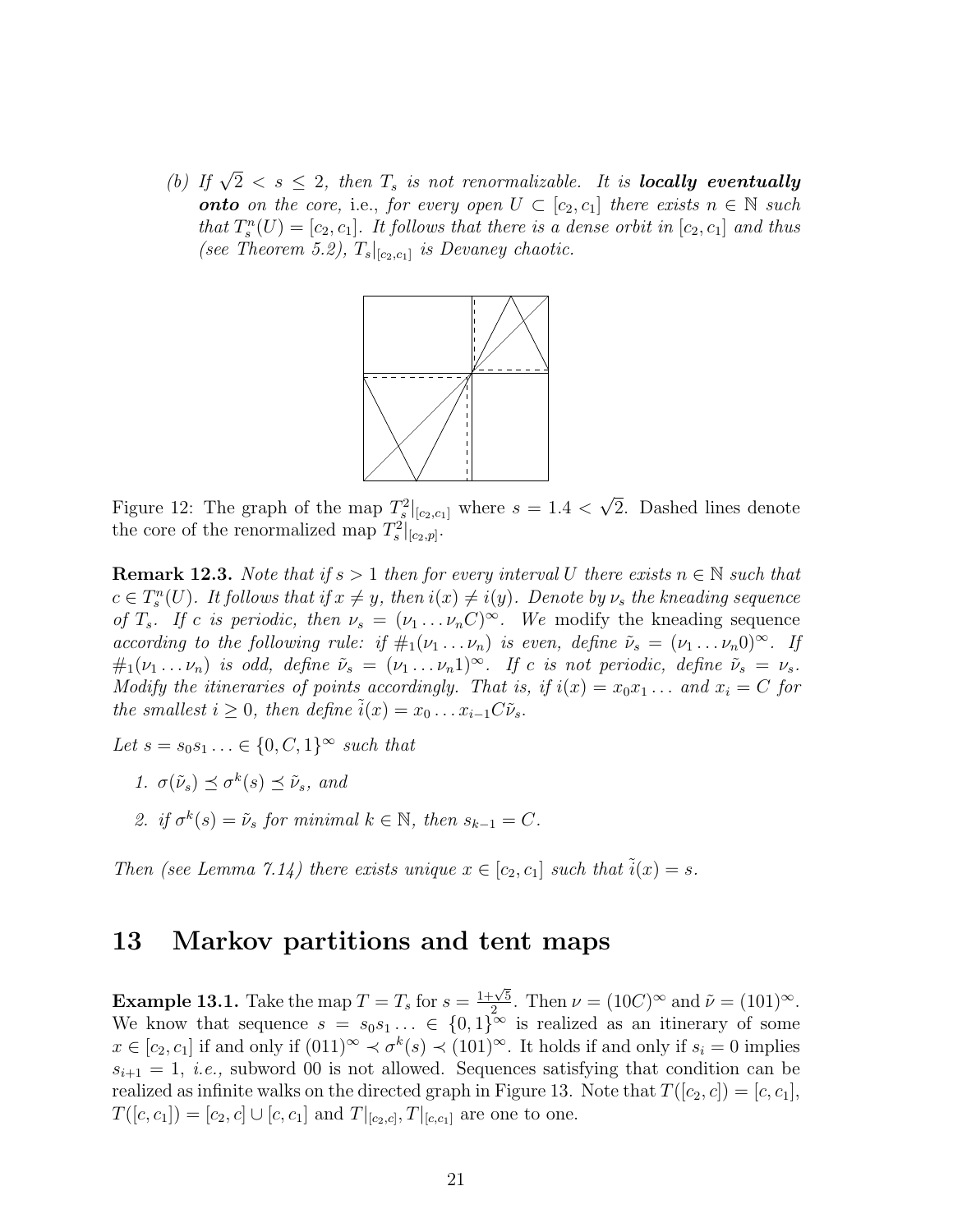(b) If  $\sqrt{2} < s \le 2$ , then  $T_s$  is not renormalizable. It is **locally eventually onto** on the core, i.e., for every open  $U \subset [c_2, c_1]$  there exists  $n \in \mathbb{N}$  such that  $T_s^n(U) = [c_2, c_1]$ . It follows that there is a dense orbit in  $[c_2, c_1]$  and thus (see Theorem 5.2),  $T_s|_{[c_2,c_1]}$  is Devaney chaotic.



Figure 12: The graph of the map  $T_s^2|_{[c_2,c_1]}$  where  $s=1.4$  < √ 2. Dashed lines denote the core of the renormalized map  $T_s^2|_{[c_2,p]}$ .

**Remark 12.3.** Note that if  $s > 1$  then for every interval U there exists  $n \in \mathbb{N}$  such that  $c \in T_s^n(U)$ . It follows that if  $x \neq y$ , then  $i(x) \neq i(y)$ . Denote by  $\nu_s$  the kneading sequence of  $T_s$ . If c is periodic, then  $\nu_s = (\nu_1 \dots \nu_n C)^\infty$ . We modify the kneading sequence according to the following rule: if  $\#_1(\nu_1 \ldots \nu_n)$  is even, define  $\tilde{\nu}_s = (\nu_1 \ldots \nu_n 0)^\infty$ . If  $\#_1(\nu_1 \ldots \nu_n)$  is odd, define  $\tilde{\nu}_s = (\nu_1 \ldots \nu_n 1)^\infty$ . If c is not periodic, define  $\tilde{\nu}_s = \nu_s$ . Modify the itineraries of points accordingly. That is, if  $i(x) = x_0x_1 \ldots$  and  $x_i = C$  for the smallest  $i \geq 0$ , then define  $i(x) = x_0 \dots x_{i-1} C \tilde{\nu}_s$ .

Let  $s = s_0 s_1 \ldots \in \{0, C, 1\}^{\infty}$  such that

- 1.  $\sigma(\tilde{\nu}_s) \preceq \sigma^k(s) \preceq \tilde{\nu}_s$ , and
- 2. if  $\sigma^k(s) = \tilde{\nu}_s$  for minimal  $k \in \mathbb{N}$ , then  $s_{k-1} = C$ .

Then (see Lemma 7.14) there exists unique  $x \in [c_2, c_1]$  such that  $i(x) = s$ .

#### 13 Markov partitions and tent maps

**Example 13.1.** Take the map  $T = T_s$  for  $s = \frac{1+\sqrt{5}}{2}$  $\frac{\sqrt{5}}{2}$ . Then  $\nu = (10C)^\infty$  and  $\tilde{\nu} = (101)^\infty$ . We know that sequence  $s = s_0 s_1 \dots \in \{0,1\}^\infty$  is realized as an itinerary of some  $x \in [c_2, c_1]$  if and only if  $(0,1)^\infty \prec \sigma^k(s) \prec (10,1)^\infty$ . It holds if and only if  $s_i = 0$  implies  $s_{i+1} = 1$ , *i.e.*, subword 00 is not allowed. Sequences satisfying that condition can be realized as infinite walks on the directed graph in Figure 13. Note that  $T([c_2, c]) = [c, c_1],$  $T([c, c_1]) = [c_2, c] \cup [c, c_1]$  and  $T|_{[c_2, c]}, T|_{[c, c_1]}$  are one to one.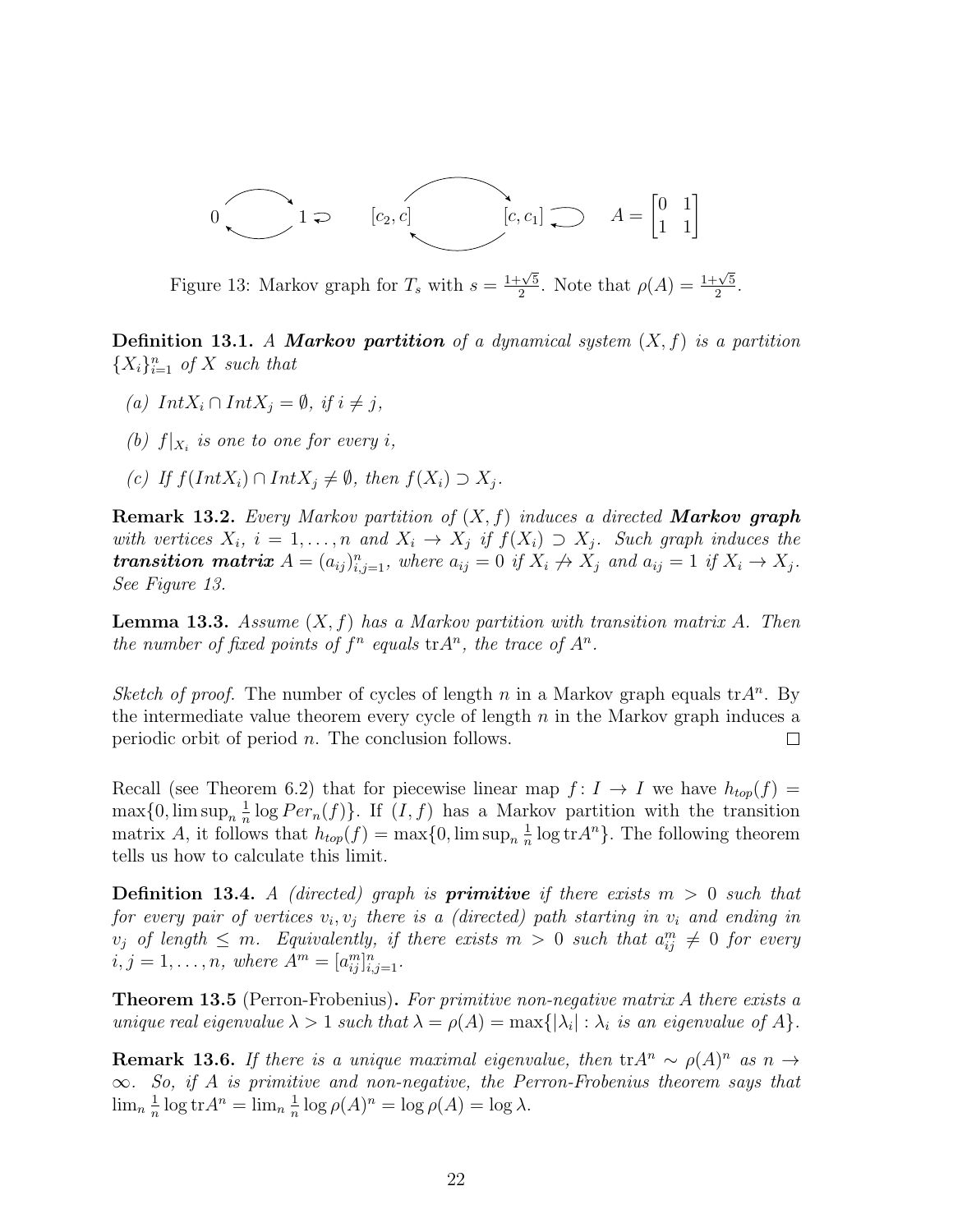$$
0
$$
  $1 \geq [c_2, c]$   $[c, c_1] \geq A = \begin{bmatrix} 0 & 1 \\ 1 & 1 \end{bmatrix}$ 

Figure 13: Markov graph for  $T_s$  with  $s = \frac{1+\sqrt{5}}{2}$  $\frac{\sqrt{5}}{2}$ . Note that  $\rho(A) = \frac{1+\sqrt{5}}{2}$  $\frac{\sqrt{5}}{2}$ .

**Definition 13.1.** A **Markov partition** of a dynamical system  $(X, f)$  is a partition  ${X<sub>i</sub>}<sub>i=1</sub><sup>n</sup>$  of X such that

- (a)  $IntX_i \cap IntX_j = \emptyset$ , if  $i \neq j$ ,
- (b)  $f|_{X_i}$  is one to one for every i,
- (c) If  $f(IntX_i) \cap IntX_j \neq \emptyset$ , then  $f(X_i) \supset X_j$ .

**Remark 13.2.** Every Markov partition of  $(X, f)$  induces a directed **Markov graph** with vertices  $X_i$ ,  $i = 1, ..., n$  and  $X_i \rightarrow X_j$  if  $f(X_i) \supset X_j$ . Such graph induces the **transition matrix**  $A = (a_{ij})_{i,j=1}^n$ , where  $a_{ij} = 0$  if  $X_i \nrightarrow X_j$  and  $a_{ij} = 1$  if  $X_i \rightarrow X_j$ . See Figure 13.

**Lemma 13.3.** Assume  $(X, f)$  has a Markov partition with transition matrix A. Then the number of fixed points of  $f^n$  equals  $tr A^n$ , the trace of  $A^n$ .

Sketch of proof. The number of cycles of length n in a Markov graph equals  $tr A<sup>n</sup>$ . By the intermediate value theorem every cycle of length  $n$  in the Markov graph induces a periodic orbit of period n. The conclusion follows.  $\Box$ 

Recall (see Theorem 6.2) that for piecewise linear map  $f: I \to I$  we have  $h_{top}(f) =$  $\max\{0,\limsup_{n}\frac{1}{n}\}$  $\frac{1}{n} \log Per_n(f)$ . If  $(I, f)$  has a Markov partition with the transition matrix A, it follows that  $h_{top}(f) = \max\{0, \limsup_{n} \frac{1}{n}\}$  $\frac{1}{n}$  log tr $A^n$ . The following theorem tells us how to calculate this limit.

**Definition 13.4.** A (directed) graph is **primitive** if there exists  $m > 0$  such that for every pair of vertices  $v_i, v_j$  there is a (directed) path starting in  $v_i$  and ending in  $v_j$  of length  $\leq m$ . Equivalently, if there exists  $m > 0$  such that  $a_{ij}^m \neq 0$  for every  $i, j = 1, \ldots, n$ , where  $A^m = [a_{ij}^m]_{i,j=1}^n$ .

Theorem 13.5 (Perron-Frobenius). For primitive non-negative matrix A there exists a unique real eigenvalue  $\lambda > 1$  such that  $\lambda = \rho(A) = \max\{|\lambda_i| : \lambda_i$  is an eigenvalue of A $\}$ .

**Remark 13.6.** If there is a unique maximal eigenvalue, then  $tr A^n \sim \rho(A)^n$  as  $n \to \infty$  $\infty$ . So, if A is primitive and non-negative, the Perron-Frobenius theorem says that  $\lim_{n} \frac{1}{n}$  $\frac{1}{n} \log \text{tr} A^n = \lim_n \frac{1}{n}$  $\frac{1}{n} \log \rho(A)^n = \log \rho(A) = \log \lambda.$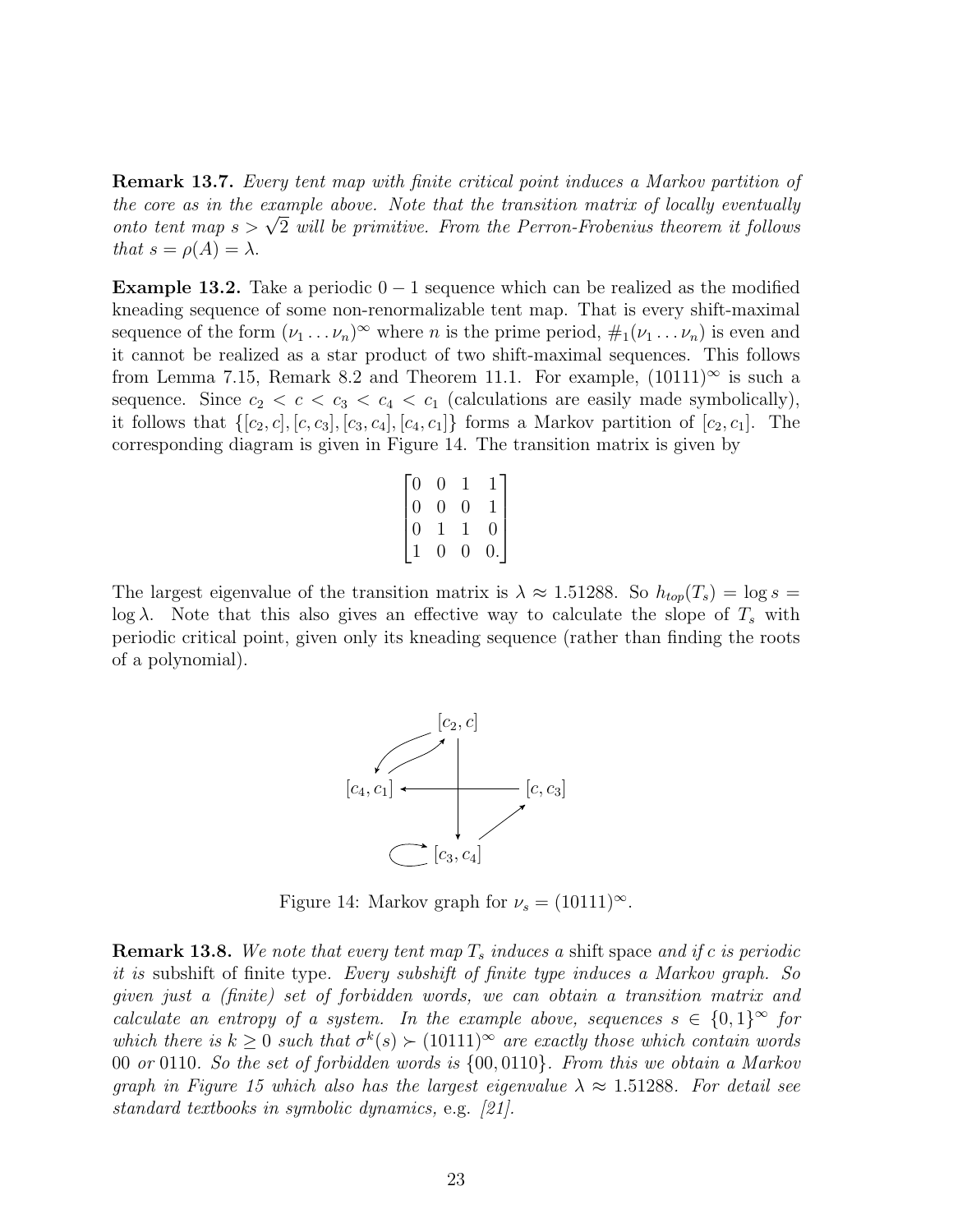Remark 13.7. Every tent map with finite critical point induces a Markov partition of the core as in the example above. Note that the transition matrix of locally eventually the core as in the example above. Note that the transition matrix of locally eventually<br>onto tent map  $s > \sqrt{2}$  will be primitive. From the Perron-Frobenius theorem it follows that  $s = \rho(A) = \lambda$ .

**Example 13.2.** Take a periodic  $0 - 1$  sequence which can be realized as the modified kneading sequence of some non-renormalizable tent map. That is every shift-maximal sequence of the form  $(\nu_1 \ldots \nu_n)^\infty$  where n is the prime period,  $\#_1(\nu_1 \ldots \nu_n)$  is even and it cannot be realized as a star product of two shift-maximal sequences. This follows from Lemma 7.15, Remark 8.2 and Theorem 11.1. For example,  $(10111)^\infty$  is such a sequence. Since  $c_2 < c < c_3 < c_4 < c_1$  (calculations are easily made symbolically), it follows that  $\{[c_2, c], [c_1, c_3], [c_3, c_4], [c_4, c_1]\}$  forms a Markov partition of  $[c_2, c_1]$ . The corresponding diagram is given in Figure 14. The transition matrix is given by

$$
\begin{bmatrix} 0 & 0 & 1 & 1 \\ 0 & 0 & 0 & 1 \\ 0 & 1 & 1 & 0 \\ 1 & 0 & 0 & 0 \end{bmatrix}
$$

The largest eigenvalue of the transition matrix is  $\lambda \approx 1.51288$ . So  $h_{top}(T_s) = \log s =$ log  $\lambda$ . Note that this also gives an effective way to calculate the slope of  $T_s$  with periodic critical point, given only its kneading sequence (rather than finding the roots of a polynomial).



Figure 14: Markov graph for  $\nu_s = (10111)^\infty$ .

**Remark 13.8.** We note that every tent map  $T_s$  induces a shift space and if c is periodic it is subshift of finite type. Every subshift of finite type induces a Markov graph. So given just a (finite) set of forbidden words, we can obtain a transition matrix and calculate an entropy of a system. In the example above, sequences  $s \in \{0,1\}^{\infty}$  for which there is  $k \geq 0$  such that  $\sigma^k(s) \succ (10111)^\infty$  are exactly those which contain words 00 or 0110. So the set of forbidden words is {00, 0110}. From this we obtain a Markov graph in Figure 15 which also has the largest eigenvalue  $\lambda \approx 1.51288$ . For detail see standard textbooks in symbolic dynamics, e.g. [21].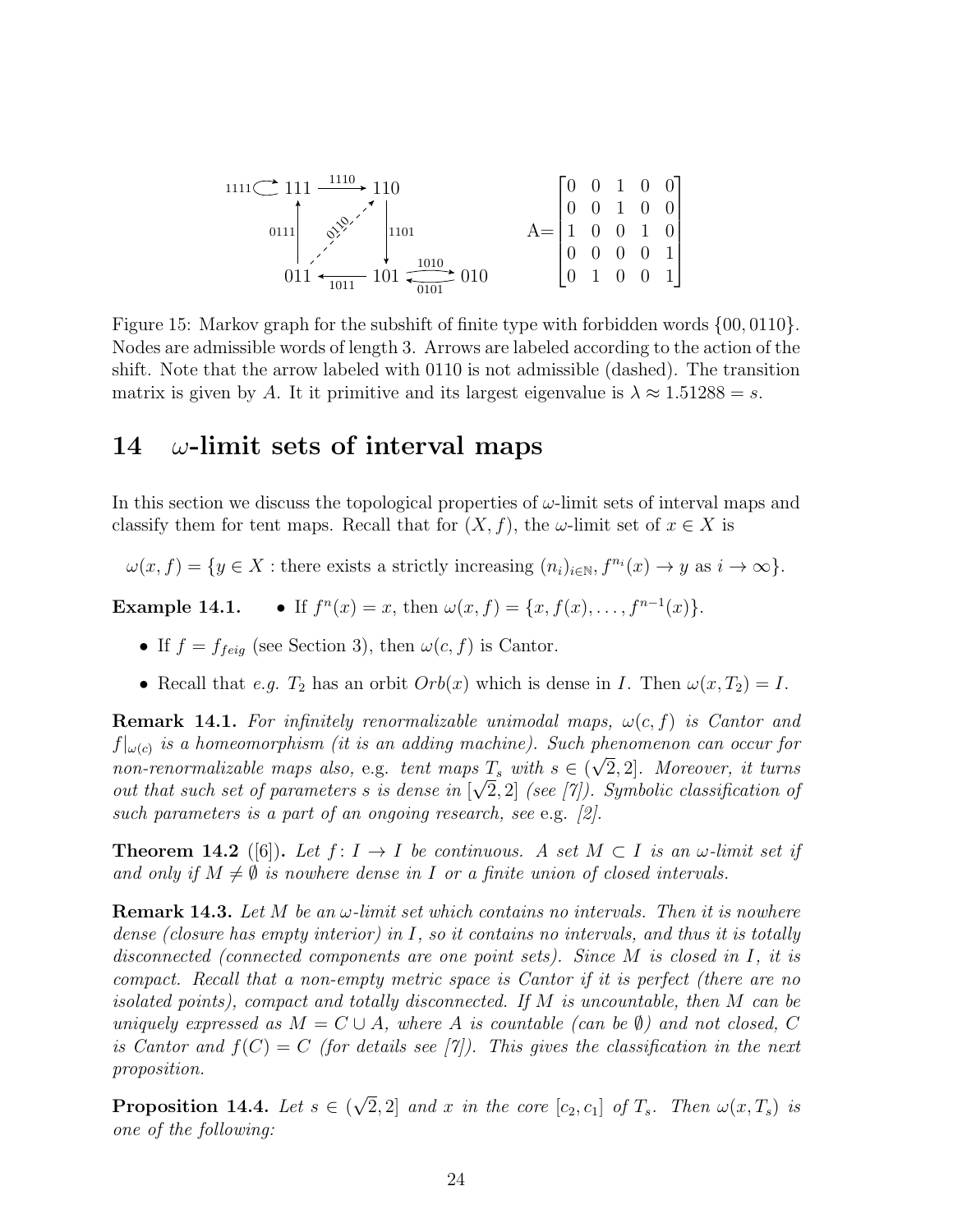$$
\begin{array}{c}\n\text{min} \\
\begin{array}{c|c}\n\end{array} & \begin{array}{c}\n111 & \xrightarrow{1110} & 110 \\
\end{array} \\
\text{min} \\
\begin{array}{c}\n011 & \xrightarrow{1100} & 101 \\
\end{array} & \begin{array}{c}\n\end{array} & \begin{array}{c}\n\end{array} & \begin{array}{c}\n\end{array} & \begin{array}{c}\n\end{array} & \begin{array}{c}\n\end{array} & \begin{array}{c}\n\end{array} & \begin{array}{c}\n\end{array} & \begin{array}{c}\n\end{array} & \begin{array}{c}\n\end{array} & \begin{array}{c}\n\end{array} & \begin{array}{c}\n\end{array} & \begin{array}{c}\n\end{array} & \begin{array}{c}\n\end{array} & \begin{array}{c}\n\end{array} & \begin{array}{c}\n\end{array} & \begin{array}{c}\n\end{array} & \begin{array}{c}\n\end{array} & \begin{array}{c}\n\end{array} & \begin{array}{c}\n\end{array} & \begin{array}{c}\n\end{array} & \begin{array}{c}\n\end{array} & \begin{array}{c}\n\end{array} & \begin{array}{c}\n\end{array} & \begin{array}{c}\n\end{array} & \begin{array}{c}\n\end{array} & \begin{array}{\n\end{array} & \begin{array}{\n\end{array} & \begin{array}{\n\end{array} & \begin{array}{\n\end{array} & \begin{array}{\n\end{array} & \begin{array}{\n\end{array} & \begin{array}{\n\end{array} & \begin{array}{\n\end{array} & \begin{array}{\n\end{array} & \begin{array}{\n\end{array} & \begin{array}{\n\end{array} & \begin{array}{\n\end{array} & \begin{array}{\n\end{array} & \begin{array}{\n\end{array} & \begin{array}{\n\end{array} & \begin{array}{\n\end{array} & \begin{array}{\n\end{array} & \begin{array}{\n\end{array} & \begin{array}{\n\end{array} & \begin{array}{\n\end{array} & \begin{array}{\n\end{array} & \begin{array}{\n\end{array} & \begin{array}{\n\end{array} & \begin{array}{\n\end
$$

Figure 15: Markov graph for the subshift of finite type with forbidden words {00, 0110}. Nodes are admissible words of length 3. Arrows are labeled according to the action of the shift. Note that the arrow labeled with 0110 is not admissible (dashed). The transition matrix is given by A. It it primitive and its largest eigenvalue is  $\lambda \approx 1.51288 = s$ .

# 14  $\omega$ -limit sets of interval maps

In this section we discuss the topological properties of  $\omega$ -limit sets of interval maps and classify them for tent maps. Recall that for  $(X, f)$ , the  $\omega$ -limit set of  $x \in X$  is

 $\omega(x, f) = \{y \in X : \text{there exists a strictly increasing } (n_i)_{i \in \mathbb{N}}, f^{n_i}(x) \to y \text{ as } i \to \infty\}.$ 

Example 14.1.  $n(x) = x$ , then  $\omega(x, f) = \{x, f(x), \ldots, f^{n-1}(x)\}.$ 

- If  $f = f_{feig}$  (see Section 3), then  $\omega(c, f)$  is Cantor.
- Recall that e.g.  $T_2$  has an orbit  $Orb(x)$  which is dense in I. Then  $\omega(x, T_2) = I$ .

**Remark 14.1.** For infinitely renormalizable unimodal maps,  $\omega(c, f)$  is Cantor and  $f|_{\omega(c)}$  is a homeomorphism (it is an adding machine). Such phenomenon can occur for non-renormalizable maps also, e.g. tent maps  $T_s$  with  $s \in (\sqrt{2}, 2]$ . Moreover, it turns out that such set of parameters s is dense in  $[\sqrt{2},2]$  (see [7]). Symbolic classification of such parameters is a part of an ongoing research, see e.g. [2].

**Theorem 14.2** ([6]). Let  $f: I \to I$  be continuous. A set  $M \subset I$  is an  $\omega$ -limit set if and only if  $M \neq \emptyset$  is nowhere dense in I or a finite union of closed intervals.

**Remark 14.3.** Let M be an  $\omega$ -limit set which contains no intervals. Then it is nowhere dense (closure has empty interior) in I, so it contains no intervals, and thus it is totally disconnected (connected components are one point sets). Since M is closed in I, it is compact. Recall that a non-empty metric space is Cantor if it is perfect (there are no isolated points), compact and totally disconnected. If M is uncountable, then M can be uniquely expressed as  $M = C \cup A$ , where A is countable (can be  $\emptyset$ ) and not closed, C is Cantor and  $f(C) = C$  (for details see [7]). This gives the classification in the next proposition.

Proposition 14.4. Let  $s \in ($ √  $[2, 2]$  and x in the core  $[c_2, c_1]$  of  $T_s$ . Then  $\omega(x, T_s)$  is one of the following: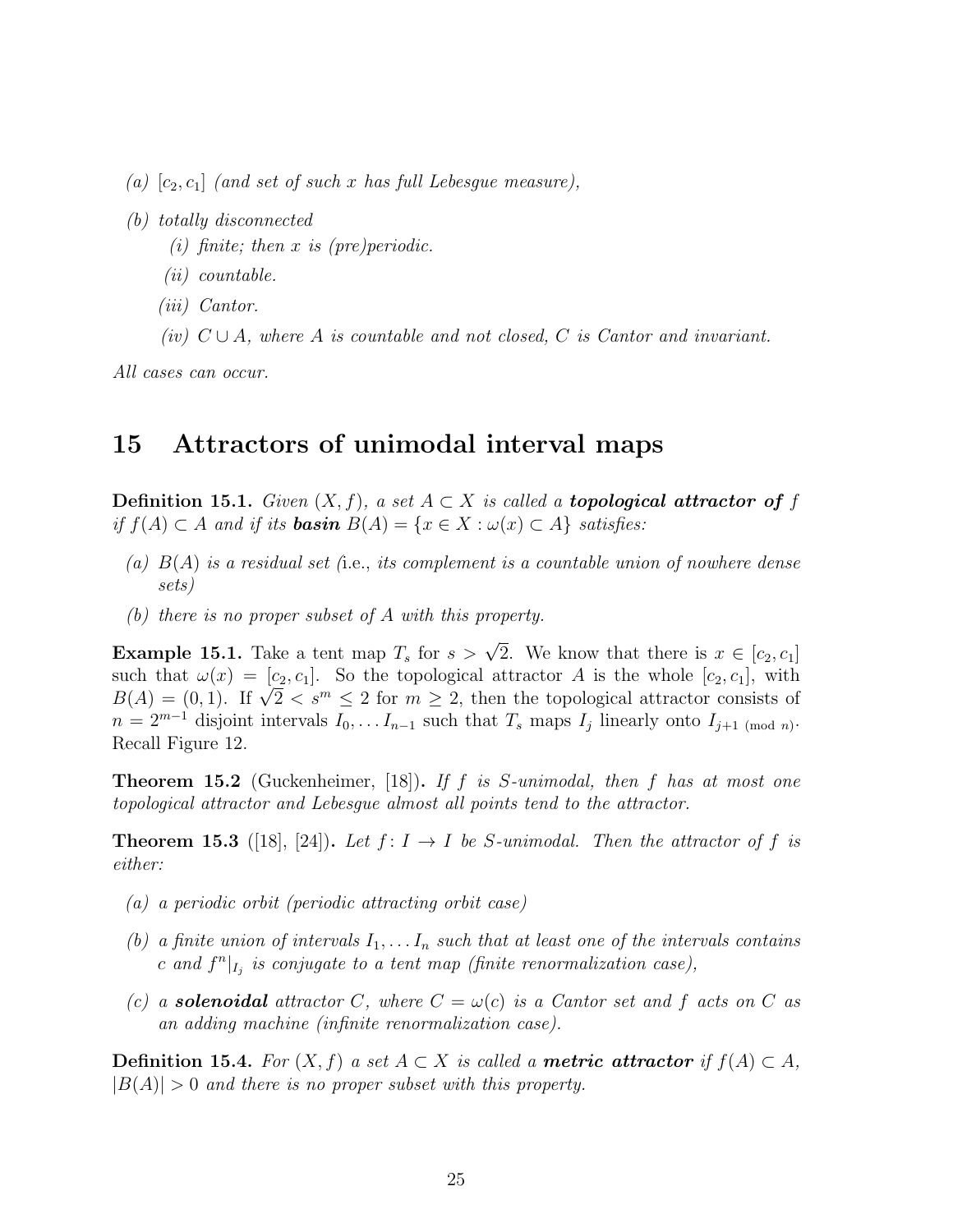- (a)  $[c_2, c_1]$  (and set of such x has full Lebesgue measure),
- (b) totally disconnected
	- (i) finite; then x is (pre)periodic.
	- (ii) countable.
	- (iii) Cantor.
	- (iv)  $C \cup A$ , where A is countable and not closed, C is Cantor and invariant.

All cases can occur.

## 15 Attractors of unimodal interval maps

**Definition 15.1.** Given  $(X, f)$ , a set  $A \subset X$  is called a **topological attractor of** f if  $f(A) \subset A$  and if its **basin**  $B(A) = \{x \in X : \omega(x) \subset A\}$  satisfies:

- (a)  $B(A)$  is a residual set (i.e., its complement is a countable union of nowhere dense sets)
- (b) there is no proper subset of A with this property.

**Example 15.1.** Take a tent map  $T_s$  for  $s > \sqrt{2}$ . We know that there is  $x \in [c_2, c_1]$ such that  $\omega(x) = [c_2, c_1]$ . So the topological attractor A is the whole  $[c_2, c_1]$ , with such that  $\omega(x) = [c_2, c_1]$ . So the topological attractor A is the whole  $[c_2, c_1]$ , with  $B(A) = (0, 1)$ . If  $\sqrt{2} < s^m \le 2$  for  $m \ge 2$ , then the topological attractor consists of  $n = 2^{m-1}$  disjoint intervals  $I_0, \ldots I_{n-1}$  such that  $T_s$  maps  $I_j$  linearly onto  $I_{j+1 \pmod{n}}$ . Recall Figure 12.

**Theorem 15.2** (Guckenheimer, [18]). If f is S-unimodal, then f has at most one topological attractor and Lebesgue almost all points tend to the attractor.

**Theorem 15.3** ([18], [24]). Let  $f: I \rightarrow I$  be S-unimodal. Then the attractor of f is either:

- (a) a periodic orbit (periodic attracting orbit case)
- (b) a finite union of intervals  $I_1, \ldots I_n$  such that at least one of the intervals contains c and  $f^{n}|_{I_j}$  is conjugate to a tent map (finite renormalization case),
- (c) a **solenoidal** attractor C, where  $C = \omega(c)$  is a Cantor set and f acts on C as an adding machine (infinite renormalization case).

**Definition 15.4.** For  $(X, f)$  a set  $A \subset X$  is called a **metric attractor** if  $f(A) \subset A$ ,  $|B(A)| > 0$  and there is no proper subset with this property.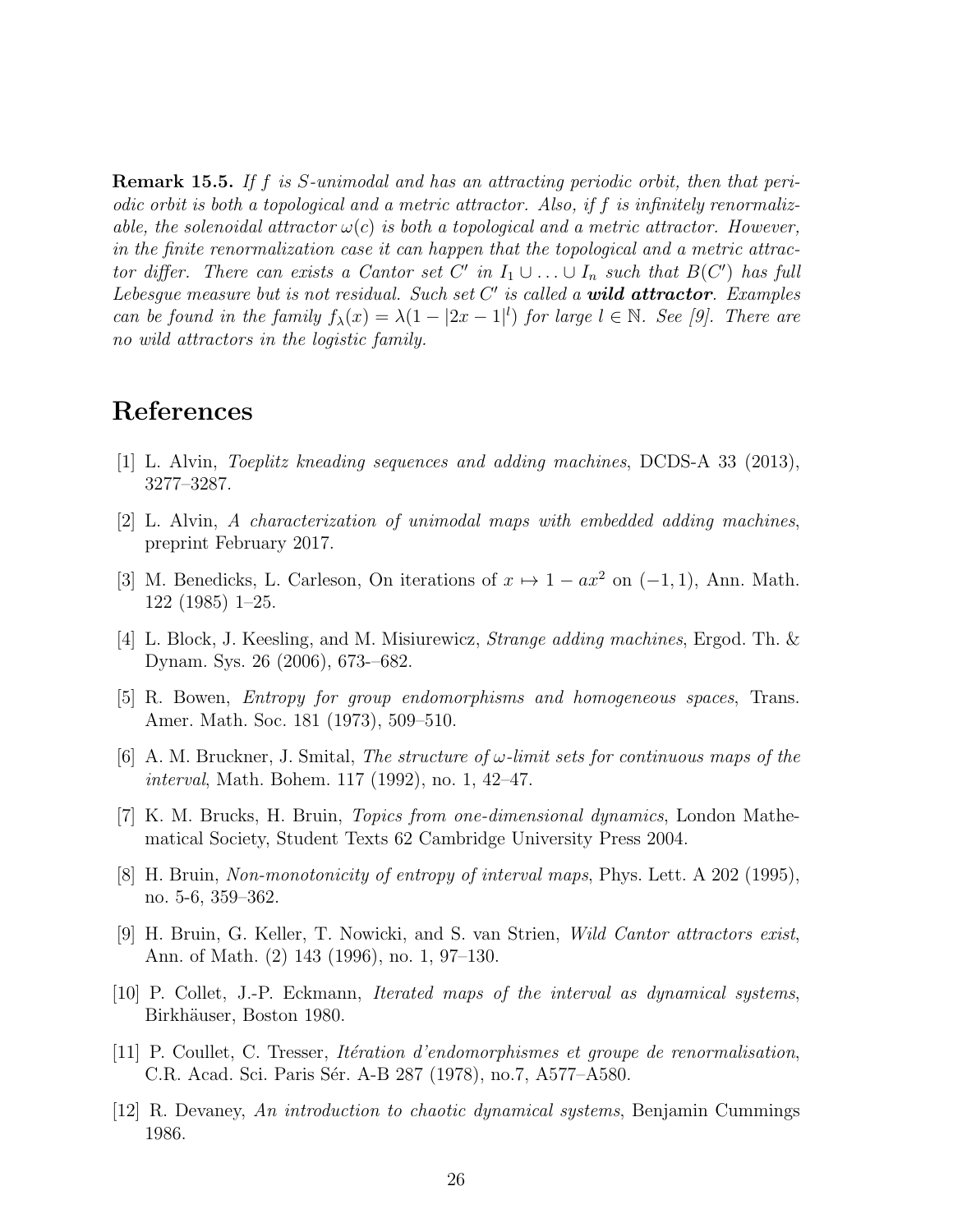Remark 15.5. If f is S-unimodal and has an attracting periodic orbit, then that periodic orbit is both a topological and a metric attractor. Also, if f is infinitely renormalizable, the solenoidal attractor  $\omega(c)$  is both a topological and a metric attractor. However, in the finite renormalization case it can happen that the topological and a metric attractor differ. There can exists a Cantor set C' in  $I_1 \cup ... \cup I_n$  such that  $B(C')$  has full Lebesgue measure but is not residual. Such set  $C'$  is called a **wild attractor**. Examples can be found in the family  $f_{\lambda}(x) = \lambda(1 - |2x - 1|^l)$  for large  $l \in \mathbb{N}$ . See [9]. There are no wild attractors in the logistic family.

# References

- [1] L. Alvin, Toeplitz kneading sequences and adding machines, DCDS-A 33 (2013), 3277–3287.
- [2] L. Alvin, A characterization of unimodal maps with embedded adding machines, preprint February 2017.
- [3] M. Benedicks, L. Carleson, On iterations of  $x \mapsto 1 ax^2$  on  $(-1, 1)$ , Ann. Math. 122 (1985) 1–25.
- [4] L. Block, J. Keesling, and M. Misiurewicz, Strange adding machines, Ergod. Th. & Dynam. Sys. 26 (2006), 673-–682.
- [5] R. Bowen, Entropy for group endomorphisms and homogeneous spaces, Trans. Amer. Math. Soc. 181 (1973), 509–510.
- [6] A. M. Bruckner, J. Smital, The structure of  $\omega$ -limit sets for continuous maps of the interval, Math. Bohem. 117 (1992), no. 1, 42–47.
- [7] K. M. Brucks, H. Bruin, Topics from one-dimensional dynamics, London Mathematical Society, Student Texts 62 Cambridge University Press 2004.
- [8] H. Bruin, Non-monotonicity of entropy of interval maps, Phys. Lett. A 202 (1995), no. 5-6, 359–362.
- [9] H. Bruin, G. Keller, T. Nowicki, and S. van Strien, Wild Cantor attractors exist, Ann. of Math. (2) 143 (1996), no. 1, 97–130.
- [10] P. Collet, J.-P. Eckmann, Iterated maps of the interval as dynamical systems, Birkhäuser, Boston 1980.
- [11] P. Coullet, C. Tresser, *Itération d'endomorphismes et groupe de renormalisation*, C.R. Acad. Sci. Paris Sér. A-B 287 (1978), no.7, A577–A580.
- [12] R. Devaney, An introduction to chaotic dynamical systems, Benjamin Cummings 1986.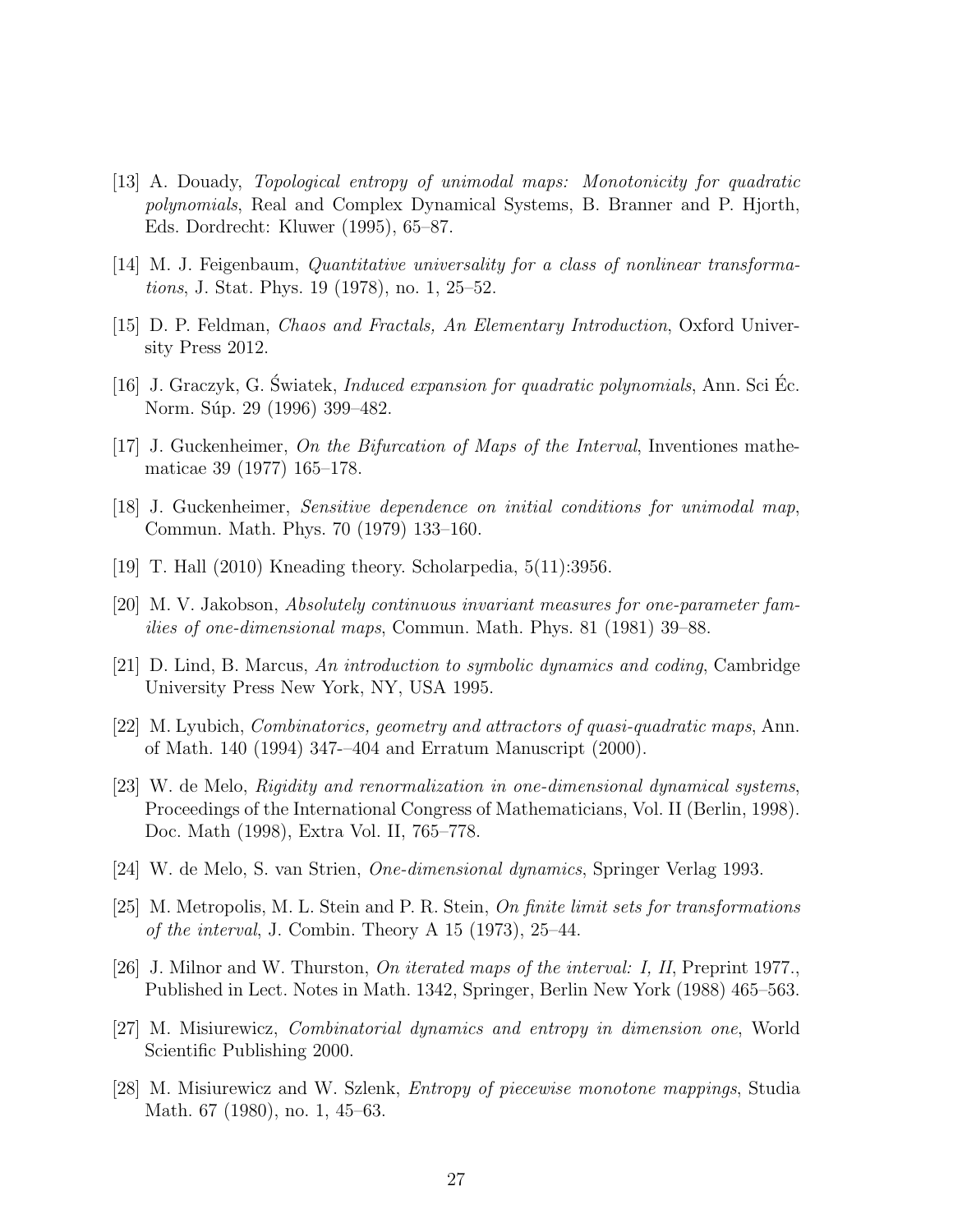- [13] A. Douady, Topological entropy of unimodal maps: Monotonicity for quadratic polynomials, Real and Complex Dynamical Systems, B. Branner and P. Hjorth, Eds. Dordrecht: Kluwer (1995), 65–87.
- [14] M. J. Feigenbaum, Quantitative universality for a class of nonlinear transformations, J. Stat. Phys. 19 (1978), no. 1, 25–52.
- [15] D. P. Feldman, Chaos and Fractals, An Elementary Introduction, Oxford University Press 2012.
- $[16]$  J. Graczyk, G. Swiatek, *Induced expansion for quadratic polynomials*, Ann. Sci Ec. Norm. Súp. 29 (1996) 399–482.
- [17] J. Guckenheimer, On the Bifurcation of Maps of the Interval, Inventiones mathematicae 39 (1977) 165–178.
- [18] J. Guckenheimer, Sensitive dependence on initial conditions for unimodal map, Commun. Math. Phys. 70 (1979) 133–160.
- [19] T. Hall (2010) Kneading theory. Scholarpedia, 5(11):3956.
- [20] M. V. Jakobson, Absolutely continuous invariant measures for one-parameter families of one-dimensional maps, Commun. Math. Phys. 81 (1981) 39–88.
- [21] D. Lind, B. Marcus, An introduction to symbolic dynamics and coding, Cambridge University Press New York, NY, USA 1995.
- [22] M. Lyubich, Combinatorics, geometry and attractors of quasi-quadratic maps, Ann. of Math. 140 (1994) 347-–404 and Erratum Manuscript (2000).
- [23] W. de Melo, Rigidity and renormalization in one-dimensional dynamical systems, Proceedings of the International Congress of Mathematicians, Vol. II (Berlin, 1998). Doc. Math (1998), Extra Vol. II, 765–778.
- [24] W. de Melo, S. van Strien, One-dimensional dynamics, Springer Verlag 1993.
- [25] M. Metropolis, M. L. Stein and P. R. Stein, On finite limit sets for transformations of the interval, J. Combin. Theory A 15 (1973), 25–44.
- [26] J. Milnor and W. Thurston, On iterated maps of the interval: I, II, Preprint 1977., Published in Lect. Notes in Math. 1342, Springer, Berlin New York (1988) 465–563.
- [27] M. Misiurewicz, Combinatorial dynamics and entropy in dimension one, World Scientific Publishing 2000.
- [28] M. Misiurewicz and W. Szlenk, Entropy of piecewise monotone mappings, Studia Math. 67 (1980), no. 1, 45–63.